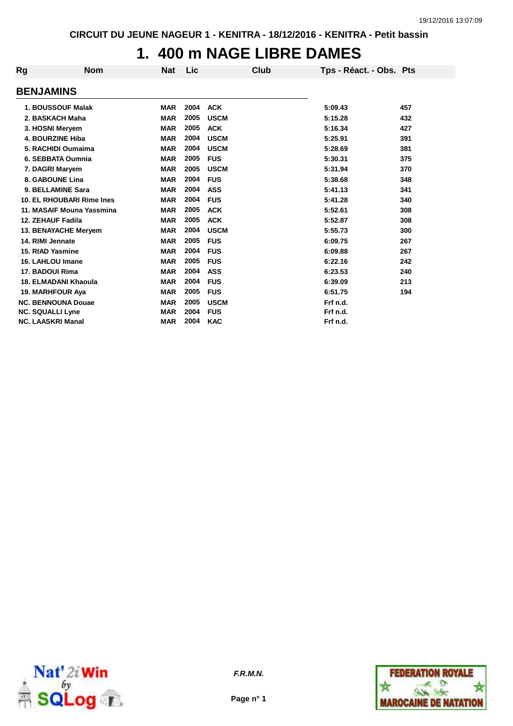# **1. 400 m NAGE LIBRE DAMES**

| Rg | <b>Nom</b>                | <b>Nat</b> | Lic  | <b>Club</b> | Tps - Réact. - Obs. Pts |     |
|----|---------------------------|------------|------|-------------|-------------------------|-----|
|    | <b>BENJAMINS</b>          |            |      |             |                         |     |
|    | 1. BOUSSOUF Malak         | <b>MAR</b> | 2004 | <b>ACK</b>  | 5:09.43                 | 457 |
|    | 2. BASKACH Maha           | <b>MAR</b> | 2005 | <b>USCM</b> | 5:15.28                 | 432 |
|    | 3. HOSNI Meryem           | <b>MAR</b> | 2005 | <b>ACK</b>  | 5:16.34                 | 427 |
|    | <b>4. BOURZINE Hiba</b>   | <b>MAR</b> | 2004 | <b>USCM</b> | 5:25.91                 | 391 |
|    | 5. RACHIDI Oumaima        | <b>MAR</b> | 2004 | <b>USCM</b> | 5:28.69                 | 381 |
|    | 6. SEBBATA Oumnia         | <b>MAR</b> | 2005 | <b>FUS</b>  | 5:30.31                 | 375 |
|    | 7. DAGRI Maryem           | <b>MAR</b> | 2005 | <b>USCM</b> | 5:31.94                 | 370 |
|    | 8. GABOUNE Lina           | <b>MAR</b> | 2004 | <b>FUS</b>  | 5:38.68                 | 348 |
|    | 9. BELLAMINE Sara         | <b>MAR</b> | 2004 | <b>ASS</b>  | 5:41.13                 | 341 |
|    | 10. EL RHOUBARI Rime Ines | <b>MAR</b> | 2004 | <b>FUS</b>  | 5:41.28                 | 340 |
|    | 11. MASAIF Mouna Yassmina | <b>MAR</b> | 2005 | <b>ACK</b>  | 5:52.61                 | 308 |
|    | 12. ZEHAUF Fadila         | <b>MAR</b> | 2005 | <b>ACK</b>  | 5:52.87                 | 308 |
|    | 13. BENAYACHE Meryem      | <b>MAR</b> | 2004 | <b>USCM</b> | 5:55.73                 | 300 |
|    | 14. RIMI Jennate          | <b>MAR</b> | 2005 | <b>FUS</b>  | 6:09.75                 | 267 |
|    | 15. RIAD Yasmine          | <b>MAR</b> | 2004 | <b>FUS</b>  | 6:09.88                 | 267 |
|    | 16. LAHLOU Imane          | <b>MAR</b> | 2005 | <b>FUS</b>  | 6:22.16                 | 242 |
|    | 17. BADOUI Rima           | <b>MAR</b> | 2004 | <b>ASS</b>  | 6:23.53                 | 240 |
|    | 18. ELMADANI Khaoula      | <b>MAR</b> | 2004 | <b>FUS</b>  | 6:39.09                 | 213 |
|    | 19. MARHFOUR Aya          | <b>MAR</b> | 2005 | <b>FUS</b>  | 6:51.75                 | 194 |
|    | <b>NC. BENNOUNA Douae</b> | <b>MAR</b> | 2005 | <b>USCM</b> | Frf n.d.                |     |
|    | <b>NC. SQUALLI Lyne</b>   | <b>MAR</b> | 2004 | <b>FUS</b>  | Frf n.d.                |     |
|    | <b>NC. LAASKRI Manal</b>  | <b>MAR</b> | 2004 | <b>KAC</b>  | Frf n.d.                |     |



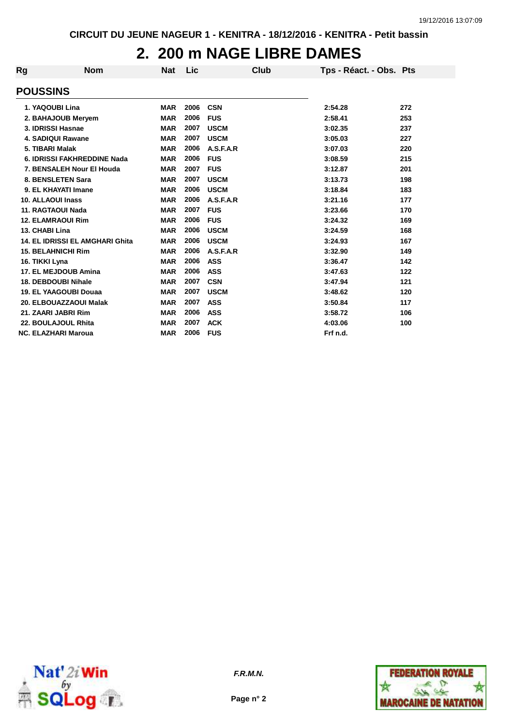# **2. 200 m NAGE LIBRE DAMES**

| Rg | <b>Nom</b>                             | <b>Nat</b> | Lic  |             | Club | Tps - Réact. - Obs. Pts |     |
|----|----------------------------------------|------------|------|-------------|------|-------------------------|-----|
|    | <b>POUSSINS</b>                        |            |      |             |      |                         |     |
|    | 1. YAQOUBI Lina                        | <b>MAR</b> | 2006 | <b>CSN</b>  |      | 2:54.28                 | 272 |
|    | 2. BAHAJOUB Meryem                     | <b>MAR</b> | 2006 | <b>FUS</b>  |      | 2:58.41                 | 253 |
|    | 3. IDRISSI Hasnae                      | <b>MAR</b> | 2007 | <b>USCM</b> |      | 3:02.35                 | 237 |
|    | <b>4. SADIQUI Rawane</b>               | <b>MAR</b> | 2007 | <b>USCM</b> |      | 3:05.03                 | 227 |
|    | 5. TIBARI Malak                        | <b>MAR</b> | 2006 | A.S.F.A.R   |      | 3:07.03                 | 220 |
|    | 6. IDRISSI FAKHREDDINE Nada            | <b>MAR</b> | 2006 | <b>FUS</b>  |      | 3:08.59                 | 215 |
|    | 7. BENSALEH Nour El Houda              | <b>MAR</b> | 2007 | <b>FUS</b>  |      | 3:12.87                 | 201 |
|    | 8. BENSLETEN Sara                      | <b>MAR</b> | 2007 | <b>USCM</b> |      | 3:13.73                 | 198 |
|    | 9. EL KHAYATI Imane                    | <b>MAR</b> | 2006 | <b>USCM</b> |      | 3:18.84                 | 183 |
|    | <b>10. ALLAOUI Inass</b>               | <b>MAR</b> | 2006 | A.S.F.A.R   |      | 3:21.16                 | 177 |
|    | 11. RAGTAOUI Nada                      | <b>MAR</b> | 2007 | <b>FUS</b>  |      | 3:23.66                 | 170 |
|    | <b>12. ELAMRAOUI Rim</b>               | <b>MAR</b> | 2006 | <b>FUS</b>  |      | 3:24.32                 | 169 |
|    | 13. CHABI Lina                         | <b>MAR</b> | 2006 | <b>USCM</b> |      | 3:24.59                 | 168 |
|    | <b>14. EL IDRISSI EL AMGHARI Ghita</b> | <b>MAR</b> | 2006 | <b>USCM</b> |      | 3:24.93                 | 167 |
|    | <b>15. BELAHNICHI Rim</b>              | <b>MAR</b> | 2006 | A.S.F.A.R   |      | 3:32.90                 | 149 |
|    | 16. TIKKI Lyna                         | <b>MAR</b> | 2006 | <b>ASS</b>  |      | 3:36.47                 | 142 |
|    | 17. EL MEJDOUB Amina                   | <b>MAR</b> | 2006 | <b>ASS</b>  |      | 3:47.63                 | 122 |
|    | <b>18. DEBDOUBI Nihale</b>             | <b>MAR</b> | 2007 | <b>CSN</b>  |      | 3:47.94                 | 121 |
|    | <b>19. EL YAAGOUBI Douaa</b>           | <b>MAR</b> | 2007 | <b>USCM</b> |      | 3:48.62                 | 120 |
|    | 20. ELBOUAZZAOUI Malak                 | <b>MAR</b> | 2007 | <b>ASS</b>  |      | 3:50.84                 | 117 |
|    | 21. ZAARI JABRI Rim                    | <b>MAR</b> | 2006 | <b>ASS</b>  |      | 3:58.72                 | 106 |
|    | 22. BOULAJOUL Rhita                    | <b>MAR</b> | 2007 | <b>ACK</b>  |      | 4:03.06                 | 100 |
|    | <b>NC. ELAZHARI Maroua</b>             | <b>MAR</b> | 2006 | <b>FUS</b>  |      | Frf n.d.                |     |



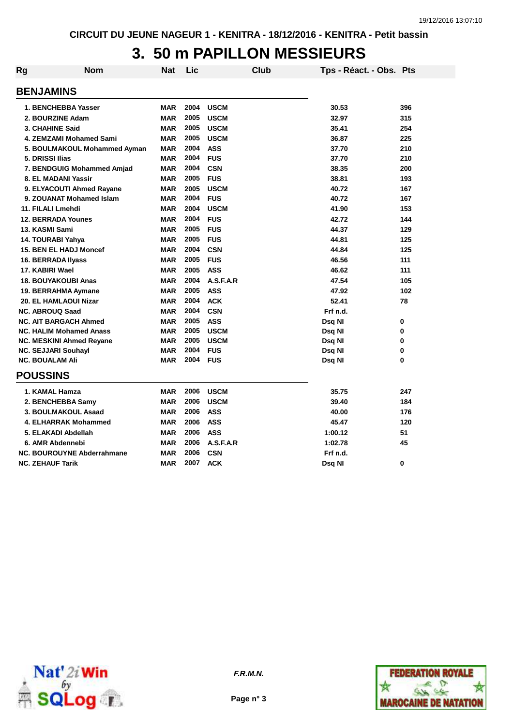# **3. 50 m PAPILLON MESSIEURS**

| Rg | <b>Nom</b>                        | Nat        | Lic  | <b>Club</b> | Tps - Réact. - Obs. Pts |     |
|----|-----------------------------------|------------|------|-------------|-------------------------|-----|
|    | <b>BENJAMINS</b>                  |            |      |             |                         |     |
|    | 1. BENCHEBBA Yasser               | <b>MAR</b> | 2004 | <b>USCM</b> | 30.53                   | 396 |
|    | 2. BOURZINE Adam                  | <b>MAR</b> | 2005 | <b>USCM</b> | 32.97                   | 315 |
|    | 3. CHAHINE Said                   | <b>MAR</b> | 2005 | <b>USCM</b> | 35.41                   | 254 |
|    | 4. ZEMZAMI Mohamed Sami           | <b>MAR</b> | 2005 | <b>USCM</b> | 36.87                   | 225 |
|    | 5. BOULMAKOUL Mohammed Ayman      | <b>MAR</b> | 2004 | <b>ASS</b>  | 37.70                   | 210 |
|    | 5. DRISSI Ilias                   | <b>MAR</b> | 2004 | <b>FUS</b>  | 37.70                   | 210 |
|    | 7. BENDGUIG Mohammed Amjad        | <b>MAR</b> | 2004 | <b>CSN</b>  | 38.35                   | 200 |
|    | 8. EL MADANI Yassir               | <b>MAR</b> | 2005 | <b>FUS</b>  | 38.81                   | 193 |
|    | 9. ELYACOUTI Ahmed Rayane         | <b>MAR</b> | 2005 | <b>USCM</b> | 40.72                   | 167 |
|    | 9. ZOUANAT Mohamed Islam          | <b>MAR</b> | 2004 | <b>FUS</b>  | 40.72                   | 167 |
|    | 11. FILALI Lmehdi                 | <b>MAR</b> | 2004 | <b>USCM</b> | 41.90                   | 153 |
|    | <b>12. BERRADA Younes</b>         | <b>MAR</b> | 2004 | <b>FUS</b>  | 42.72                   | 144 |
|    | 13. KASMI Sami                    | <b>MAR</b> | 2005 | <b>FUS</b>  | 44.37                   | 129 |
|    | 14. TOURABI Yahya                 | <b>MAR</b> | 2005 | <b>FUS</b>  | 44.81                   | 125 |
|    | 15. BEN EL HADJ Moncef            | <b>MAR</b> | 2004 | <b>CSN</b>  | 44.84                   | 125 |
|    | 16. BERRADA Ilyass                | <b>MAR</b> | 2005 | <b>FUS</b>  | 46.56                   | 111 |
|    | 17. KABIRI Wael                   | <b>MAR</b> | 2005 | <b>ASS</b>  | 46.62                   | 111 |
|    | <b>18. BOUYAKOUBI Anas</b>        | <b>MAR</b> | 2004 | A.S.F.A.R   | 47.54                   | 105 |
|    | 19. BERRAHMA Aymane               | <b>MAR</b> | 2005 | <b>ASS</b>  | 47.92                   | 102 |
|    | 20. EL HAMLAOUI Nizar             | <b>MAR</b> | 2004 | <b>ACK</b>  | 52.41                   | 78  |
|    | <b>NC. ABROUQ Saad</b>            | <b>MAR</b> | 2004 | <b>CSN</b>  | Frf n.d.                |     |
|    | <b>NC. AIT BARGACH Ahmed</b>      | <b>MAR</b> | 2005 | <b>ASS</b>  | Dsq NI                  | 0   |
|    | <b>NC. HALIM Mohamed Anass</b>    | <b>MAR</b> | 2005 | <b>USCM</b> | Dsq NI                  | 0   |
|    | <b>NC. MESKINI Ahmed Reyane</b>   | <b>MAR</b> | 2005 | <b>USCM</b> | Dsq NI                  | 0   |
|    | <b>NC. SEJJARI Souhayl</b>        | <b>MAR</b> | 2004 | <b>FUS</b>  | Dsq NI                  | 0   |
|    | <b>NC. BOUALAM Ali</b>            | <b>MAR</b> | 2004 | <b>FUS</b>  | Dsq NI                  | 0   |
|    | <b>POUSSINS</b>                   |            |      |             |                         |     |
|    | 1. KAMAL Hamza                    | <b>MAR</b> | 2006 | <b>USCM</b> | 35.75                   | 247 |
|    | 2. BENCHEBBA Samy                 | <b>MAR</b> | 2006 | <b>USCM</b> | 39.40                   | 184 |
|    | 3. BOULMAKOUL Asaad               | <b>MAR</b> | 2006 | <b>ASS</b>  | 40.00                   | 176 |
|    | 4. ELHARRAK Mohammed              | <b>MAR</b> | 2006 | <b>ASS</b>  | 45.47                   | 120 |
|    | 5. ELAKADI Abdellah               | <b>MAR</b> | 2006 | <b>ASS</b>  | 1:00.12                 | 51  |
|    | 6. AMR Abdennebi                  | <b>MAR</b> | 2006 | A.S.F.A.R   | 1:02.78                 | 45  |
|    | <b>NC. BOUROUYNE Abderrahmane</b> | <b>MAR</b> | 2006 | <b>CSN</b>  | Frf n.d.                |     |
|    | <b>NC. ZEHAUF Tarik</b>           | <b>MAR</b> | 2007 | <b>ACK</b>  | Dsg NI                  | 0   |



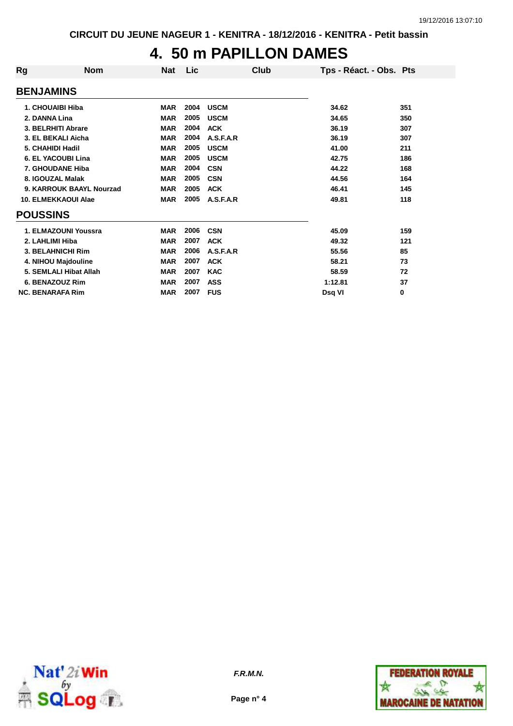# **4. 50 m PAPILLON DAMES**

| Rg                      | <b>Nom</b>                 | Nat        | Lic  | Club        | Tps - Réact. - Obs. Pts |     |
|-------------------------|----------------------------|------------|------|-------------|-------------------------|-----|
| <b>BENJAMINS</b>        |                            |            |      |             |                         |     |
| 1. CHOUAIBI Hiba        |                            | <b>MAR</b> | 2004 | <b>USCM</b> | 34.62                   | 351 |
| 2. DANNA Lina           |                            | <b>MAR</b> | 2005 | <b>USCM</b> | 34.65                   | 350 |
|                         | 3. BELRHITI Abrare         | <b>MAR</b> | 2004 | <b>ACK</b>  | 36.19                   | 307 |
|                         | 3. EL BEKALI Aicha         | <b>MAR</b> | 2004 | A.S.F.A.R   | 36.19                   | 307 |
| 5. CHAHIDI Hadil        |                            | <b>MAR</b> | 2005 | <b>USCM</b> | 41.00                   | 211 |
|                         | <b>6. EL YACOUBI Lina</b>  | <b>MAR</b> | 2005 | <b>USCM</b> | 42.75                   | 186 |
|                         | 7. GHOUDANE Hiba           | <b>MAR</b> | 2004 | <b>CSN</b>  | 44.22                   | 168 |
|                         | 8. IGOUZAL Malak           | <b>MAR</b> | 2005 | <b>CSN</b>  | 44.56                   | 164 |
|                         | 9. KARROUK BAAYL Nourzad   | <b>MAR</b> | 2005 | <b>ACK</b>  | 46.41                   | 145 |
|                         | <b>10. ELMEKKAOUI Alae</b> | <b>MAR</b> | 2005 | A.S.F.A.R   | 49.81                   | 118 |
| <b>POUSSINS</b>         |                            |            |      |             |                         |     |
|                         | 1. ELMAZOUNI Youssra       | <b>MAR</b> | 2006 | <b>CSN</b>  | 45.09                   | 159 |
| 2. LAHLIMI Hiba         |                            | <b>MAR</b> | 2007 | <b>ACK</b>  | 49.32                   | 121 |
|                         | <b>3. BELAHNICHI Rim</b>   | <b>MAR</b> | 2006 | A.S.F.A.R   | 55.56                   | 85  |
|                         | 4. NIHOU Majdouline        | <b>MAR</b> | 2007 | <b>ACK</b>  | 58.21                   | 73  |
|                         | 5. SEMLALI Hibat Allah     | <b>MAR</b> | 2007 | <b>KAC</b>  | 58.59                   | 72  |
|                         | 6. BENAZOUZ Rim            | <b>MAR</b> | 2007 | <b>ASS</b>  | 1:12.81                 | 37  |
| <b>NC. BENARAFA Rim</b> |                            | <b>MAR</b> | 2007 | <b>FUS</b>  | Dsa VI                  | 0   |



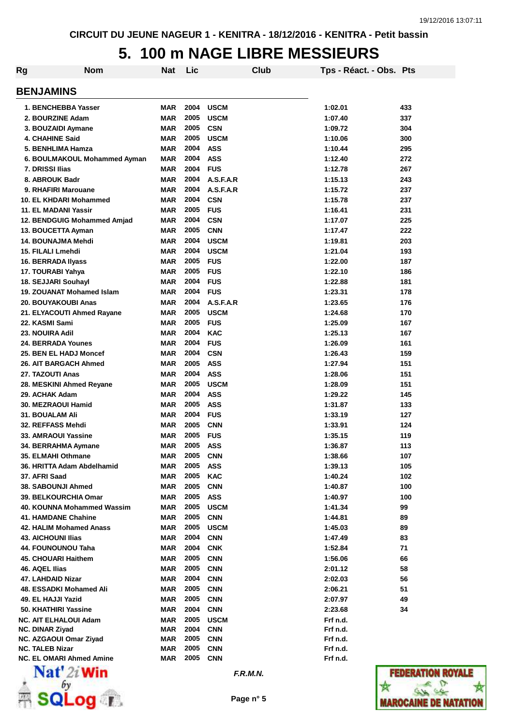# **5. 100 m NAGE LIBRE MESSIEURS**

| Rg | <b>Nom</b>                                       | Nat        | Lic          |                          | Club | Tps - Réact. - Obs. Pts |                  |
|----|--------------------------------------------------|------------|--------------|--------------------------|------|-------------------------|------------------|
|    | <b>BENJAMINS</b>                                 |            |              |                          |      |                         |                  |
|    | 1. BENCHEBBA Yasser                              | MAR        | 2004         | <b>USCM</b>              |      | 1:02.01                 | 433              |
|    | 2. BOURZINE Adam                                 | <b>MAR</b> | 2005         | <b>USCM</b>              |      | 1:07.40                 | 337              |
|    | 3. BOUZAIDI Aymane                               | <b>MAR</b> | 2005         | <b>CSN</b>               |      | 1:09.72                 | 304              |
|    | <b>4. CHAHINE Said</b>                           | <b>MAR</b> | 2005         | <b>USCM</b>              |      | 1:10.06                 | 300              |
|    | 5. BENHLIMA Hamza                                | <b>MAR</b> | 2004         | <b>ASS</b>               |      | 1:10.44                 | 295              |
|    | 6. BOULMAKOUL Mohammed Ayman                     | <b>MAR</b> | 2004         | <b>ASS</b>               |      | 1:12.40                 | 272              |
|    | 7. DRISSI Ilias                                  | <b>MAR</b> | 2004         | <b>FUS</b>               |      | 1:12.78                 | 267              |
|    | 8. ABROUK Badr                                   | <b>MAR</b> | 2004         | A.S.F.A.R                |      | 1:15.13                 | 243              |
|    | 9. RHAFIRI Marouane                              | <b>MAR</b> | 2004         | A.S.F.A.R                |      | 1:15.72                 | 237              |
|    | 10. EL KHDARI Mohammed                           | <b>MAR</b> | 2004         | <b>CSN</b>               |      | 1:15.78                 | 237              |
|    | 11. EL MADANI Yassir                             | <b>MAR</b> | 2005         | <b>FUS</b>               |      | 1:16.41                 | 231              |
|    | 12. BENDGUIG Mohammed Amjad                      | <b>MAR</b> | 2004         | <b>CSN</b>               |      | 1:17.07                 | 225              |
|    | 13. BOUCETTA Ayman                               | <b>MAR</b> | 2005         | <b>CNN</b>               |      | 1:17.47                 | 222              |
|    | 14. BOUNAJMA Mehdi                               | <b>MAR</b> | 2004         | <b>USCM</b>              |      | 1:19.81                 | 203              |
|    | 15. FILALI Lmehdi                                | <b>MAR</b> | 2004         | <b>USCM</b>              |      | 1:21.04                 | 193              |
|    | 16. BERRADA Ilyass                               | <b>MAR</b> | 2005         | <b>FUS</b>               |      | 1:22.00                 | 187              |
|    | 17. TOURABI Yahya                                | <b>MAR</b> | 2005         | <b>FUS</b>               |      | 1:22.10                 | 186              |
|    | 18. SEJJARI Souhayl                              | <b>MAR</b> | 2004         | <b>FUS</b>               |      | 1:22.88                 | 181              |
|    | 19. ZOUANAT Mohamed Islam                        | <b>MAR</b> | 2004         | <b>FUS</b>               |      | 1:23.31                 | 178              |
|    | 20. BOUYAKOUBI Anas                              | <b>MAR</b> | 2004         | A.S.F.A.R                |      | 1:23.65                 | 176              |
|    | 21. ELYACOUTI Ahmed Rayane                       | <b>MAR</b> | 2005         | <b>USCM</b>              |      | 1:24.68                 | 170              |
|    | 22. KASMI Sami                                   | <b>MAR</b> | 2005         | <b>FUS</b>               |      | 1:25.09                 | 167              |
|    | 23. NOUIRA Adil                                  | <b>MAR</b> | 2004         | <b>KAC</b>               |      | 1:25.13                 | 167              |
|    | <b>24. BERRADA Younes</b>                        | <b>MAR</b> | 2004         | <b>FUS</b>               |      | 1:26.09                 | 161              |
|    | 25. BEN EL HADJ Moncef                           | <b>MAR</b> | 2004         | <b>CSN</b>               |      | 1:26.43                 | 159              |
|    | 26. AIT BARGACH Ahmed                            | <b>MAR</b> | 2005         | <b>ASS</b>               |      | 1:27.94                 | 151              |
|    | 27. TAZOUTI Anas                                 | <b>MAR</b> | 2004         | <b>ASS</b>               |      | 1:28.06                 | 151              |
|    | 28. MESKINI Ahmed Reyane                         | <b>MAR</b> | 2005         | <b>USCM</b>              |      | 1:28.09                 | 151              |
|    | 29. ACHAK Adam                                   | <b>MAR</b> | 2004         | <b>ASS</b>               |      | 1:29.22                 | 145              |
|    | 30. MEZRAOUI Hamid                               | <b>MAR</b> | 2005         | <b>ASS</b>               |      | 1:31.87                 | 133              |
|    | 31. BOUALAM Ali                                  | <b>MAR</b> | 2004         | <b>FUS</b>               |      | 1:33.19                 | 127              |
|    | 32. REFFASS Mehdi                                | <b>MAR</b> | 2005         | <b>CNN</b>               |      | 1:33.91                 | 124              |
|    | 33. AMRAOUI Yassine                              | <b>MAR</b> | 2005         | <b>FUS</b>               |      | 1:35.15                 | 119              |
|    | 34. BERRAHMA Aymane                              | <b>MAR</b> | 2005         | <b>ASS</b>               |      | 1:36.87                 | 113              |
|    | 35. ELMAHI Othmane                               | MAR        | 2005         | <b>CNN</b>               |      | 1:38.66                 | 107              |
|    | 36. HRITTA Adam Abdelhamid                       | MAR        | 2005         | <b>ASS</b>               |      | 1:39.13                 | 105              |
|    | 37. AFRI Saad                                    | <b>MAR</b> | 2005         | <b>KAC</b>               |      | 1:40.24                 | 102              |
|    | 38. SABOUNJI Ahmed                               | <b>MAR</b> | 2005         | <b>CNN</b>               |      | 1:40.87                 | 100              |
|    | 39. BELKOURCHIA Omar                             | MAR        | 2005         | <b>ASS</b>               |      | 1:40.97                 | 100              |
|    | 40. KOUNNA Mohammed Wassim                       | MAR        | 2005         | <b>USCM</b>              |      | 1:41.34                 | 99               |
|    | 41. HAMDANE Chahine                              | MAR        | 2005         | <b>CNN</b>               |      | 1:44.81                 | 89               |
|    | 42. HALIM Mohamed Anass                          | MAR        | 2005         | <b>USCM</b>              |      | 1:45.03                 | 89               |
|    | <b>43. AICHOUNI Ilias</b>                        | MAR        | 2004         | <b>CNN</b>               |      | 1:47.49                 | 83               |
|    | 44. FOUNOUNOU Taha                               | <b>MAR</b> | 2004         | <b>CNK</b>               |      | 1:52.84                 | 71               |
|    | 45. CHOUARI Haithem                              | <b>MAR</b> | 2005         | <b>CNN</b>               |      | 1:56.06                 | 66               |
|    | 46. AQEL Ilias                                   | <b>MAR</b> | 2005         | <b>CNN</b>               |      | 2:01.12                 | 58               |
|    | 47. LAHDAID Nizar                                | <b>MAR</b> | 2004         | <b>CNN</b>               |      | 2:02.03                 | 56               |
|    | 48. ESSADKI Mohamed Ali                          | <b>MAR</b> | 2005         | <b>CNN</b>               |      | 2:06.21                 | 51               |
|    | 49. EL HAJJI Yazid                               | MAR        | 2005         | <b>CNN</b>               |      | 2:07.97                 | 49               |
|    | 50. KHATHIRI Yassine                             | MAR        | 2004         | <b>CNN</b>               |      | 2:23.68                 | 34               |
|    | <b>NC. AIT ELHALOUI Adam</b>                     | <b>MAR</b> | 2005         | <b>USCM</b>              |      | Frf n.d.                |                  |
|    | <b>NC. DINAR Ziyad</b>                           | <b>MAR</b> | 2004<br>2005 | <b>CNN</b>               |      | Frf n.d.                |                  |
|    | NC. AZGAOUI Omar Ziyad<br><b>NC. TALEB Nizar</b> | MAR<br>MAR | 2005         | <b>CNN</b><br><b>CNN</b> |      | Frf n.d.<br>Frf n.d.    |                  |
|    | <b>NC. EL OMARI Ahmed Amine</b>                  | MAR        | 2005         | <b>CNN</b>               |      | Frf n.d.                |                  |
|    | $\mathbf{Nat}'$ 2i Win                           |            |              | F.R.M.N.                 |      |                         | <b>FEDERATIO</b> |



 $\frac{1}{\sqrt{2}}$  solog  $\frac{1}{\sqrt{2}}$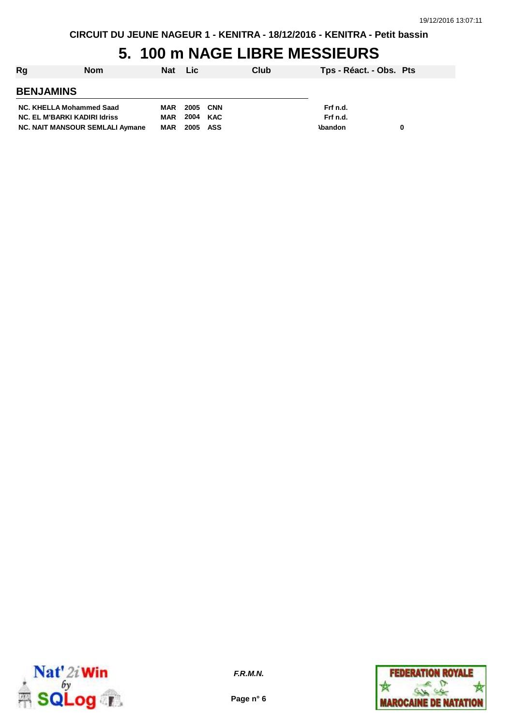**CIRCUIT DU JEUNE NAGEUR 1 - KENITRA - 18/12/2016 - KENITRA - Petit bassin**

# **5. 100 m NAGE LIBRE MESSIEURS**

| Rg<br><b>Nom</b>                       |            | Nat Lic  | Club     | Tps - Réact. - Obs. Pts |   |
|----------------------------------------|------------|----------|----------|-------------------------|---|
| <b>BENJAMINS</b>                       |            |          |          |                         |   |
| NC. KHELLA Mohammed Saad               | MAR        | 2005 CNN |          | Frf n.d.                |   |
| <b>NC. EL M'BARKI KADIRI Idriss</b>    | MAR        |          | 2004 KAC | Frf n.d.                |   |
| <b>NC. NAIT MANSOUR SEMLALI Aymane</b> | <b>MAR</b> | 2005 ASS |          | <b>\bandon</b>          | 0 |



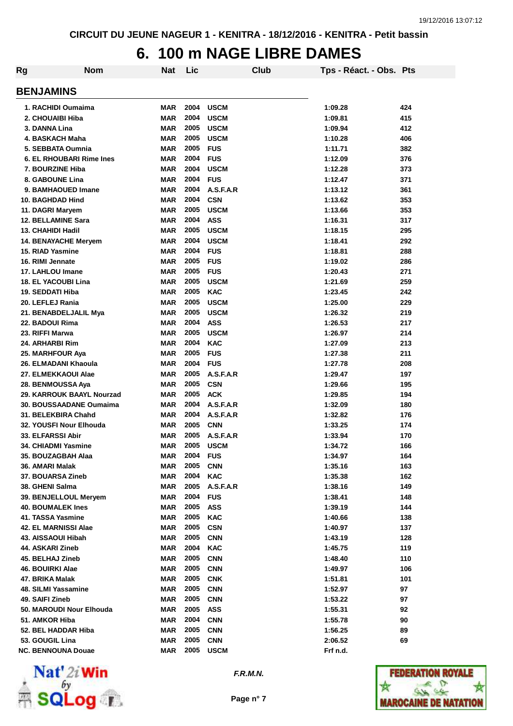#### **6. 100 m NAGE LIBRE DAMES**

| Rg                          | <b>Nom</b>                  | <b>Nat</b> | Lic  |             | Club | Tps - Réact. - Obs. Pts |     |
|-----------------------------|-----------------------------|------------|------|-------------|------|-------------------------|-----|
| <b>BENJAMINS</b>            |                             |            |      |             |      |                         |     |
|                             | 1. RACHIDI Oumaima          | <b>MAR</b> | 2004 | <b>USCM</b> |      | 1:09.28                 | 424 |
| 2. CHOUAIBI Hiba            |                             | <b>MAR</b> | 2004 | <b>USCM</b> |      | 1:09.81                 | 415 |
| 3. DANNA Lina               |                             | <b>MAR</b> | 2005 | <b>USCM</b> |      | 1:09.94                 | 412 |
| 4. BASKACH Maha             |                             | <b>MAR</b> | 2005 | <b>USCM</b> |      | 1:10.28                 | 406 |
| 5. SEBBATA Oumnia           |                             | <b>MAR</b> | 2005 | <b>FUS</b>  |      | 1:11.71                 | 382 |
|                             | 6. EL RHOUBARI Rime Ines    | <b>MAR</b> | 2004 | <b>FUS</b>  |      | 1:12.09                 | 376 |
| 7. BOURZINE Hiba            |                             | <b>MAR</b> | 2004 | <b>USCM</b> |      | 1:12.28                 | 373 |
| 8. GABOUNE Lina             |                             | <b>MAR</b> | 2004 | <b>FUS</b>  |      | 1:12.47                 | 371 |
|                             | 9. BAMHAOUED Imane          | <b>MAR</b> | 2004 | A.S.F.A.R   |      | 1:13.12                 | 361 |
| 10. BAGHDAD Hind            |                             | <b>MAR</b> | 2004 | <b>CSN</b>  |      | 1:13.62                 | 353 |
| 11. DAGRI Maryem            |                             | <b>MAR</b> | 2005 | <b>USCM</b> |      | 1:13.66                 | 353 |
| <b>12. BELLAMINE Sara</b>   |                             | <b>MAR</b> | 2004 | <b>ASS</b>  |      | 1:16.31                 | 317 |
| 13. CHAHIDI Hadil           |                             | <b>MAR</b> | 2005 | <b>USCM</b> |      | 1:18.15                 | 295 |
|                             | <b>14. BENAYACHE Meryem</b> | <b>MAR</b> | 2004 | <b>USCM</b> |      | 1:18.41                 | 292 |
| <b>15. RIAD Yasmine</b>     |                             | <b>MAR</b> | 2004 | <b>FUS</b>  |      | 1:18.81                 | 288 |
| 16. RIMI Jennate            |                             | <b>MAR</b> | 2005 | <b>FUS</b>  |      | 1:19.02                 | 286 |
| 17. LAHLOU Imane            |                             | <b>MAR</b> | 2005 | <b>FUS</b>  |      | 1:20.43                 | 271 |
| <b>18. EL YACOUBI Lina</b>  |                             | <b>MAR</b> | 2005 | <b>USCM</b> |      | 1:21.69                 | 259 |
| 19. SEDDATI Hiba            |                             | <b>MAR</b> | 2005 | <b>KAC</b>  |      | 1:23.45                 | 242 |
| 20. LEFLEJ Rania            |                             | <b>MAR</b> | 2005 | <b>USCM</b> |      | 1:25.00                 | 229 |
|                             | 21. BENABDELJALIL Mya       | <b>MAR</b> | 2005 | <b>USCM</b> |      | 1:26.32                 | 219 |
| 22. BADOUI Rima             |                             | <b>MAR</b> | 2004 | <b>ASS</b>  |      | 1:26.53                 | 217 |
| 23. RIFFI Marwa             |                             | <b>MAR</b> | 2005 | <b>USCM</b> |      | 1:26.97                 | 214 |
| 24. ARHARBI Rim             |                             | <b>MAR</b> | 2004 | <b>KAC</b>  |      | 1:27.09                 | 213 |
| 25. MARHFOUR Aya            |                             | <b>MAR</b> | 2005 | <b>FUS</b>  |      | 1:27.38                 | 211 |
|                             | 26. ELMADANI Khaoula        | <b>MAR</b> | 2004 | <b>FUS</b>  |      | 1:27.78                 | 208 |
| 27. ELMEKKAOUI Alae         |                             | <b>MAR</b> | 2005 | A.S.F.A.R   |      | 1:29.47                 | 197 |
| 28. BENMOUSSA Aya           |                             | <b>MAR</b> | 2005 | <b>CSN</b>  |      | 1:29.66                 | 195 |
|                             | 29. KARROUK BAAYL Nourzad   | <b>MAR</b> | 2005 | <b>ACK</b>  |      | 1:29.85                 | 194 |
|                             | 30. BOUSSAADANE Oumaima     | <b>MAR</b> | 2004 | A.S.F.A.R   |      | 1:32.09                 | 180 |
| 31. BELEKBIRA Chahd         |                             | <b>MAR</b> | 2004 | A.S.F.A.R   |      | 1:32.82                 | 176 |
|                             | 32. YOUSFI Nour Elhouda     | <b>MAR</b> | 2005 | <b>CNN</b>  |      | 1:33.25                 | 174 |
| <b>33. ELFARSSI Abir</b>    |                             | <b>MAR</b> | 2005 | A.S.F.A.R   |      | 1:33.94                 | 170 |
| 34. CHIADMI Yasmine         |                             | <b>MAR</b> | 2005 | <b>USCM</b> |      | 1:34.72                 | 166 |
| 35. BOUZAGBAH Alaa          |                             | <b>MAR</b> | 2004 | <b>FUS</b>  |      | 1:34.97                 | 164 |
| 36. AMARI Malak             |                             | <b>MAR</b> | 2005 | <b>CNN</b>  |      | 1:35.16                 | 163 |
| 37. BOUARSA Zineb           |                             | <b>MAR</b> | 2004 | <b>KAC</b>  |      | 1:35.38                 | 162 |
| 38. GHENI Salma             |                             | <b>MAR</b> | 2005 | A.S.F.A.R   |      | 1:38.16                 | 149 |
|                             | 39. BENJELLOUL Meryem       | <b>MAR</b> | 2004 | <b>FUS</b>  |      | 1:38.41                 | 148 |
| <b>40. BOUMALEK Ines</b>    |                             | <b>MAR</b> | 2005 | <b>ASS</b>  |      | 1:39.19                 | 144 |
| 41. TASSA Yasmine           |                             | <b>MAR</b> | 2005 | <b>KAC</b>  |      | 1:40.66                 | 138 |
| <b>42. EL MARNISSI Alae</b> |                             | <b>MAR</b> | 2005 | <b>CSN</b>  |      | 1:40.97                 | 137 |
| 43. AISSAOUI Hibah          |                             | <b>MAR</b> | 2005 | <b>CNN</b>  |      | 1:43.19                 | 128 |
| 44. ASKARI Zineb            |                             | <b>MAR</b> | 2004 | <b>KAC</b>  |      | 1:45.75                 | 119 |
| 45. BELHAJ Zineb            |                             | <b>MAR</b> | 2005 | <b>CNN</b>  |      | 1:48.40                 | 110 |
| 46. BOUIRKI Alae            |                             | <b>MAR</b> | 2005 | <b>CNN</b>  |      | 1:49.97                 | 106 |
| 47. BRIKA Malak             |                             | <b>MAR</b> | 2005 | <b>CNK</b>  |      | 1:51.81                 | 101 |
| 48. SILMI Yassamine         |                             | <b>MAR</b> | 2005 | <b>CNN</b>  |      | 1:52.97                 | 97  |
| 49. SAIFI Zineb             |                             | <b>MAR</b> | 2005 | <b>CNN</b>  |      | 1:53.22                 | 97  |
|                             | 50. MAROUDI Nour Elhouda    | <b>MAR</b> | 2005 | <b>ASS</b>  |      | 1:55.31                 | 92  |
| 51. AMKOR Hiba              |                             | <b>MAR</b> | 2004 | <b>CNN</b>  |      | 1:55.78                 | 90  |
| 52. BEL HADDAR Hiba         |                             | <b>MAR</b> | 2005 | <b>CNN</b>  |      | 1:56.25                 | 89  |
| 53. GOUGIL Lina             |                             | <b>MAR</b> | 2005 | <b>CNN</b>  |      | 2:06.52                 | 69  |
| NC. BENNOUNA Douae          |                             | <b>MAR</b> | 2005 | <b>USCM</b> |      | Frf n.d.                |     |



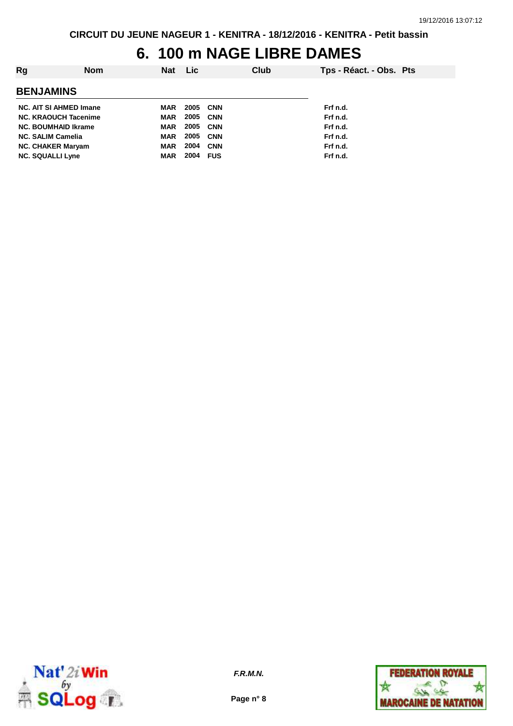## **6. 100 m NAGE LIBRE DAMES**

| Rg                            | <b>Nom</b> | Nat        | <b>Lic</b> |            | Club | Tps - Réact. - Obs. Pts |  |
|-------------------------------|------------|------------|------------|------------|------|-------------------------|--|
| <b>BENJAMINS</b>              |            |            |            |            |      |                         |  |
| <b>NC. AIT SI AHMED Imane</b> |            | MAR        | 2005       | <b>CNN</b> |      | Frf n.d.                |  |
| <b>NC. KRAOUCH Tacenime</b>   |            | MAR        | 2005       | CNN        |      | Frf n.d.                |  |
| <b>NC. BOUMHAID Ikrame</b>    |            | MAR        | 2005       | <b>CNN</b> |      | Frf n.d.                |  |
| <b>NC. SALIM Camelia</b>      |            | MAR        | 2005       | <b>CNN</b> |      | Frf n.d.                |  |
| <b>NC. CHAKER Maryam</b>      |            | MAR        | 2004       | <b>CNN</b> |      | Frf n.d.                |  |
| <b>NC. SQUALLI Lyne</b>       |            | <b>MAR</b> | 2004       | <b>FUS</b> |      | Frf n.d.                |  |



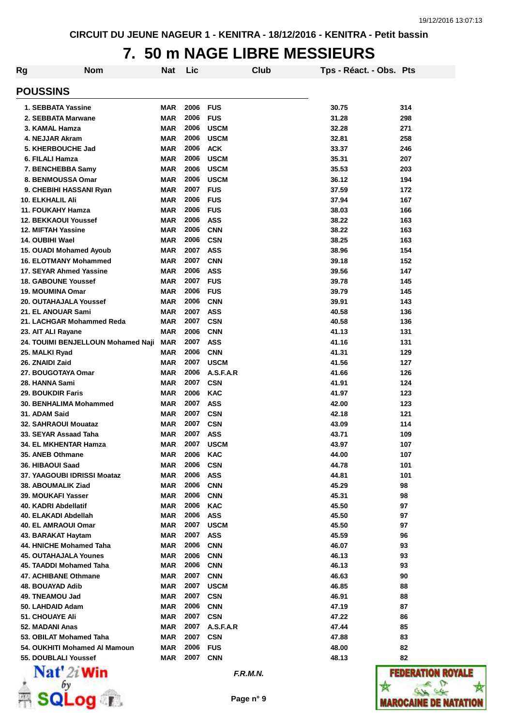#### **7. 50 m NAGE LIBRE MESSIEURS**

| Rg                                                 | <b>Nom</b>                         | <b>Nat</b>               | Lic          |                          | Club | Tps - Réact. - Obs. Pts |            |
|----------------------------------------------------|------------------------------------|--------------------------|--------------|--------------------------|------|-------------------------|------------|
| <b>POUSSINS</b>                                    |                                    |                          |              |                          |      |                         |            |
| 1. SEBBATA Yassine                                 |                                    | MAR                      | 2006         | FUS                      |      | 30.75                   | 314        |
| 2. SEBBATA Marwane                                 |                                    | <b>MAR</b>               | 2006         | <b>FUS</b>               |      | 31.28                   | 298        |
| 3. KAMAL Hamza                                     |                                    | <b>MAR</b>               | 2006         | <b>USCM</b>              |      | 32.28                   | 271        |
| 4. NEJJAR Akram                                    |                                    | <b>MAR</b>               | 2006         | <b>USCM</b>              |      | 32.81                   | 258        |
| 5. KHERBOUCHE Jad                                  |                                    | <b>MAR</b>               | 2006         | <b>ACK</b>               |      | 33.37                   | 246        |
| 6. FILALI Hamza                                    |                                    | <b>MAR</b>               | 2006         | <b>USCM</b>              |      | 35.31                   | 207        |
| 7. BENCHEBBA Samy                                  |                                    | <b>MAR</b>               | 2006         | <b>USCM</b>              |      | 35.53                   | 203        |
| 8. BENMOUSSA Omar                                  |                                    | <b>MAR</b>               | 2006         | <b>USCM</b>              |      | 36.12                   | 194        |
| 9. CHEBIHI HASSANI Ryan                            |                                    | <b>MAR</b>               | 2007         | <b>FUS</b>               |      | 37.59                   | 172        |
| <b>10. ELKHALIL Ali</b>                            |                                    | <b>MAR</b>               | 2006         | <b>FUS</b>               |      | 37.94                   | 167        |
| 11. FOUKAHY Hamza                                  |                                    | <b>MAR</b>               | 2006         | <b>FUS</b>               |      | 38.03                   | 166        |
| <b>12. BEKKAOUI Youssef</b>                        |                                    | <b>MAR</b>               | 2006         | <b>ASS</b>               |      | 38.22                   | 163        |
| <b>12. MIFTAH Yassine</b>                          |                                    | <b>MAR</b>               | 2006         | <b>CNN</b>               |      | 38.22                   | 163        |
| 14. OUBIHI Wael                                    |                                    | <b>MAR</b>               | 2006         | <b>CSN</b>               |      | 38.25                   | 163        |
| 15. OUADI Mohamed Ayoub                            |                                    | <b>MAR</b>               | 2007         | <b>ASS</b>               |      | 38.96                   | 154        |
| <b>16. ELOTMANY Mohammed</b>                       |                                    | <b>MAR</b>               | 2007         | <b>CNN</b>               |      | 39.18                   | 152        |
| 17. SEYAR Ahmed Yassine                            |                                    | <b>MAR</b>               | 2006         | <b>ASS</b>               |      | 39.56                   | 147        |
| <b>18. GABOUNE Youssef</b>                         |                                    | <b>MAR</b>               | 2007         | <b>FUS</b>               |      | 39.78                   | 145        |
| <b>19. MOUMINA Omar</b>                            |                                    | <b>MAR</b>               | 2006         | <b>FUS</b>               |      | 39.79                   | 145        |
| 20. OUTAHAJALA Youssef                             |                                    | <b>MAR</b>               | 2006         | <b>CNN</b>               |      | 39.91                   | 143        |
| 21. EL ANOUAR Sami                                 |                                    | MAR                      | 2007         | <b>ASS</b>               |      | 40.58                   | 136        |
| 21. LACHGAR Mohammed Reda                          |                                    | MAR                      | 2007         | <b>CSN</b>               |      | 40.58                   | 136        |
| 23. AIT ALI Rayane                                 |                                    | <b>MAR</b>               | 2006         | <b>CNN</b>               |      | 41.13                   | 131        |
|                                                    | 24. TOUIMI BENJELLOUN Mohamed Naji | <b>MAR</b>               | 2007         | <b>ASS</b>               |      | 41.16                   | 131        |
| 25. MALKI Ryad                                     |                                    | <b>MAR</b>               | 2006<br>2007 | <b>CNN</b>               |      | 41.31                   | 129        |
| 26. ZNAIDI Zaid                                    |                                    | <b>MAR</b>               | 2006         | <b>USCM</b><br>A.S.F.A.R |      | 41.56                   | 127        |
| 27. BOUGOTAYA Omar                                 |                                    | <b>MAR</b>               |              |                          |      | 41.66                   | 126        |
| 28. HANNA Sami                                     |                                    | MAR                      | 2007<br>2006 | <b>CSN</b><br><b>KAC</b> |      | 41.91                   | 124        |
| <b>29. BOUKDIR Faris</b><br>30. BENHALIMA Mohammed |                                    | <b>MAR</b><br><b>MAR</b> | 2007         | <b>ASS</b>               |      | 41.97<br>42.00          | 123<br>123 |
| 31. ADAM Said                                      |                                    | <b>MAR</b>               | 2007         | <b>CSN</b>               |      | 42.18                   | 121        |
| 32. SAHRAOUI Mouataz                               |                                    | <b>MAR</b>               | 2007         | <b>CSN</b>               |      | 43.09                   | 114        |
| 33. SEYAR Assaad Taha                              |                                    | <b>MAR</b>               | 2007         | <b>ASS</b>               |      | 43.71                   | 109        |
| 34. EL MKHENTAR Hamza                              |                                    | MAR                      | 2007         | <b>USCM</b>              |      | 43.97                   | 107        |
| 35. ANEB Othmane                                   |                                    | MAR                      | 2006         | <b>KAC</b>               |      | 44.00                   | 107        |
| 36. HIBAOUI Saad                                   |                                    | <b>MAR</b>               | 2006         | <b>CSN</b>               |      | 44.78                   | 101        |
| 37. YAAGOUBI IDRISSI Moataz                        |                                    | <b>MAR</b>               | 2006         | <b>ASS</b>               |      | 44.81                   | 101        |
| 38. ABOUMALIK Ziad                                 |                                    | <b>MAR</b>               | 2006         | <b>CNN</b>               |      | 45.29                   | 98         |
| <b>39. MOUKAFI Yasser</b>                          |                                    | MAR                      | 2006         | <b>CNN</b>               |      | 45.31                   | 98         |
| 40. KADRI Abdellatif                               |                                    | <b>MAR</b>               | 2006         | <b>KAC</b>               |      | 45.50                   | 97         |
| 40. ELAKADI Abdellah                               |                                    | <b>MAR</b>               | 2006         | <b>ASS</b>               |      | 45.50                   | 97         |
| 40. EL AMRAOUI Omar                                |                                    | MAR                      | 2007         | <b>USCM</b>              |      | 45.50                   | 97         |
| 43. BARAKAT Haytam                                 |                                    | MAR                      | 2007         | <b>ASS</b>               |      | 45.59                   | 96         |
| 44. HNICHE Mohamed Taha                            |                                    | MAR                      | 2006         | <b>CNN</b>               |      | 46.07                   | 93         |
| <b>45. OUTAHAJALA Younes</b>                       |                                    | <b>MAR</b>               | 2006         | <b>CNN</b>               |      | 46.13                   | 93         |
| 45. TAADDI Mohamed Taha                            |                                    | MAR                      | 2006         | <b>CNN</b>               |      | 46.13                   | 93         |
| 47. ACHIBANE Othmane                               |                                    | MAR                      | 2007         | <b>CNN</b>               |      | 46.63                   | 90         |
| 48. BOUAYAD Adib                                   |                                    | <b>MAR</b>               | 2007         | <b>USCM</b>              |      | 46.85                   | 88         |
| 49. TNEAMOU Jad                                    |                                    | <b>MAR</b>               | 2007         | <b>CSN</b>               |      | 46.91                   | 88         |
| 50. LAHDAID Adam                                   |                                    | MAR                      | 2006         | <b>CNN</b>               |      | 47.19                   | 87         |
| 51. CHOUAYE Ali                                    |                                    | MAR                      | 2007         | <b>CSN</b>               |      | 47.22                   | 86         |
| 52. MADANI Anas                                    |                                    | MAR                      | 2007         | A.S.F.A.R                |      | 47.44                   | 85         |
| 53. OBILAT Mohamed Taha                            |                                    | MAR                      | 2007         | <b>CSN</b>               |      | 47.88                   | 83         |
|                                                    | 54. OUKHITI Mohamed Al Mamoun      | <b>MAR</b>               | 2006         | <b>FUS</b>               |      | 48.00                   | 82         |
| 55. DOUBLALI Youssef                               |                                    | MAR                      | 2007         | <b>CNN</b>               |      | 48.13                   | 82         |
| <b>BILLER</b> CHAIR                                |                                    |                          |              |                          |      |                         |            |



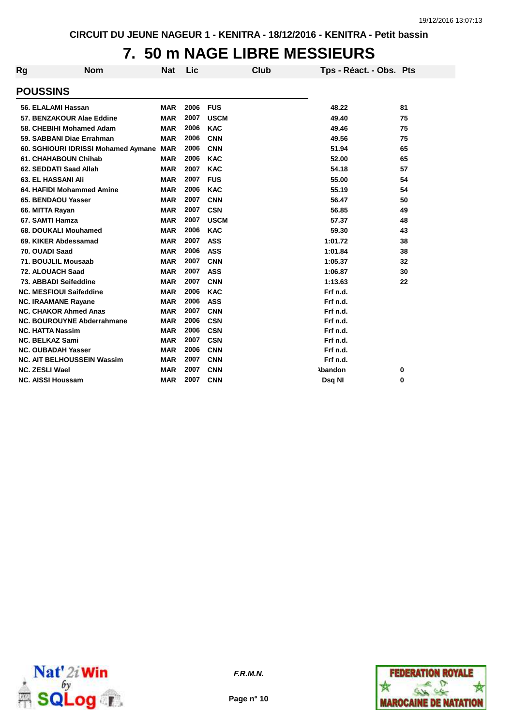# **7. 50 m NAGE LIBRE MESSIEURS**

| <b>Rg</b> | <b>Nom</b>                              | Nat        | Lic  |             | Club | Tps - Réact. - Obs. Pts |    |
|-----------|-----------------------------------------|------------|------|-------------|------|-------------------------|----|
|           | <b>POUSSINS</b>                         |            |      |             |      |                         |    |
|           | 56. ELALAMI Hassan                      | <b>MAR</b> | 2006 | <b>FUS</b>  |      | 48.22                   | 81 |
|           | 57. BENZAKOUR Alae Eddine               | <b>MAR</b> | 2007 | <b>USCM</b> |      | 49.40                   | 75 |
|           | 58. CHEBIHI Mohamed Adam                | <b>MAR</b> | 2006 | <b>KAC</b>  |      | 49.46                   | 75 |
|           | 59. SABBANI Diae Errahman               | <b>MAR</b> | 2006 | CNN         |      | 49.56                   | 75 |
|           | 60. SGHIOURI IDRISSI Mohamed Aymane MAR |            | 2006 | <b>CNN</b>  |      | 51.94                   | 65 |
|           | 61. CHAHABOUN Chihab                    | <b>MAR</b> | 2006 | <b>KAC</b>  |      | 52.00                   | 65 |
|           | 62. SEDDATI Saad Allah                  | <b>MAR</b> | 2007 | <b>KAC</b>  |      | 54.18                   | 57 |
|           | <b>63. EL HASSANI Ali</b>               | <b>MAR</b> | 2007 | <b>FUS</b>  |      | 55.00                   | 54 |
|           | 64. HAFIDI Mohammed Amine               | <b>MAR</b> | 2006 | <b>KAC</b>  |      | 55.19                   | 54 |
|           | 65. BENDAOU Yasser                      | <b>MAR</b> | 2007 | <b>CNN</b>  |      | 56.47                   | 50 |
|           | 66. MITTA Rayan                         | <b>MAR</b> | 2007 | <b>CSN</b>  |      | 56.85                   | 49 |
|           | 67. SAMTI Hamza                         | <b>MAR</b> | 2007 | <b>USCM</b> |      | 57.37                   | 48 |
|           | 68. DOUKALI Mouhamed                    | <b>MAR</b> | 2006 | <b>KAC</b>  |      | 59.30                   | 43 |
|           | 69. KIKER Abdessamad                    | <b>MAR</b> | 2007 | <b>ASS</b>  |      | 1:01.72                 | 38 |
|           | 70. OUADI Saad                          | <b>MAR</b> | 2006 | <b>ASS</b>  |      | 1:01.84                 | 38 |
|           | 71. BOUJLIL Mousaab                     | <b>MAR</b> | 2007 | <b>CNN</b>  |      | 1:05.37                 | 32 |
|           | 72. ALOUACH Saad                        | <b>MAR</b> | 2007 | <b>ASS</b>  |      | 1:06.87                 | 30 |
|           | 73. ABBADI Seifeddine                   | <b>MAR</b> | 2007 | <b>CNN</b>  |      | 1:13.63                 | 22 |
|           | <b>NC. MESFIOUI Saifeddine</b>          | <b>MAR</b> | 2006 | <b>KAC</b>  |      | Frf n.d.                |    |
|           | <b>NC. IRAAMANE Rayane</b>              | <b>MAR</b> | 2006 | <b>ASS</b>  |      | Frf n.d.                |    |
|           | <b>NC. CHAKOR Ahmed Anas</b>            | <b>MAR</b> | 2007 | <b>CNN</b>  |      | Frf n.d.                |    |
|           | <b>NC. BOUROUYNE Abderrahmane</b>       | <b>MAR</b> | 2006 | <b>CSN</b>  |      | Frf n.d.                |    |
|           | <b>NC. HATTA Nassim</b>                 | <b>MAR</b> | 2006 | <b>CSN</b>  |      | Frf n.d.                |    |
|           | <b>NC. BELKAZ Sami</b>                  | <b>MAR</b> | 2007 | <b>CSN</b>  |      | Frf n.d.                |    |
|           | <b>NC. OUBADAH Yasser</b>               | <b>MAR</b> | 2006 | <b>CNN</b>  |      | Frf n.d.                |    |
|           | <b>NC. AIT BELHOUSSEIN Wassim</b>       | <b>MAR</b> | 2007 | <b>CNN</b>  |      | Frf n.d.                |    |
|           | <b>NC. ZESLI Wael</b>                   | <b>MAR</b> | 2007 | <b>CNN</b>  |      | <b>\bandon</b>          | 0  |
|           | <b>NC. AISSI Houssam</b>                | <b>MAR</b> | 2007 | <b>CNN</b>  |      | Dsq NI                  | 0  |



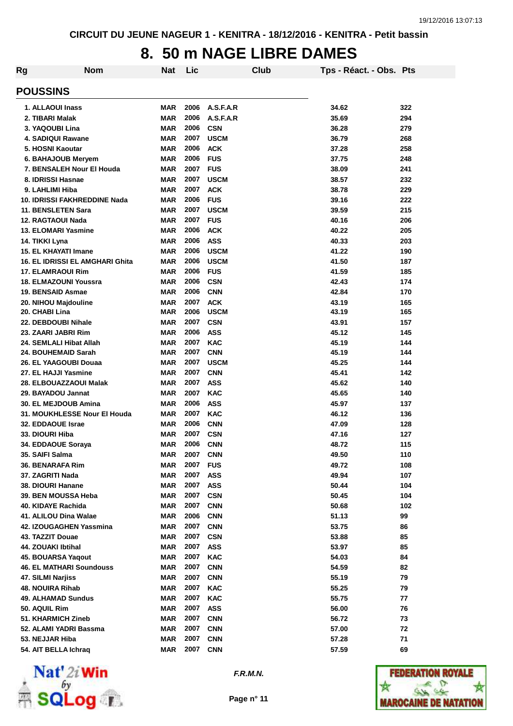#### **8. 50 m NAGE LIBRE DAMES**

| Rg                                              | <b>Nom</b>                      | <b>Nat</b>               | Lic          |                           | Club | Tps - Réact. - Obs. Pts |            |
|-------------------------------------------------|---------------------------------|--------------------------|--------------|---------------------------|------|-------------------------|------------|
| <b>POUSSINS</b>                                 |                                 |                          |              |                           |      |                         |            |
|                                                 |                                 |                          |              |                           |      |                         |            |
| 1. ALLAOUI Inass                                |                                 | <b>MAR</b>               | 2006         | A.S.F.A.R                 |      | 34.62                   | 322        |
| 2. TIBARI Malak                                 |                                 | <b>MAR</b>               | 2006<br>2006 | A.S.F.A.R                 |      | 35.69                   | 294        |
| 3. YAQOUBI Lina                                 |                                 | <b>MAR</b>               | 2007         | <b>CSN</b><br><b>USCM</b> |      | 36.28                   | 279        |
| <b>4. SADIQUI Rawane</b>                        |                                 | <b>MAR</b>               |              |                           |      | 36.79                   | 268        |
| 5. HOSNI Kaoutar                                |                                 | <b>MAR</b>               | 2006<br>2006 | <b>ACK</b>                |      | 37.28                   | 258        |
| 6. BAHAJOUB Meryem                              |                                 | <b>MAR</b>               |              | <b>FUS</b>                |      | 37.75                   | 248        |
| 7. BENSALEH Nour El Houda                       |                                 | <b>MAR</b>               | 2007         | <b>FUS</b>                |      | 38.09                   | 241        |
| 8. IDRISSI Hasnae                               |                                 | <b>MAR</b>               | 2007<br>2007 | <b>USCM</b>               |      | 38.57                   | 232        |
| 9. LAHLIMI Hiba                                 | 10. IDRISSI FAKHREDDINE Nada    | <b>MAR</b><br><b>MAR</b> | 2006         | <b>ACK</b><br><b>FUS</b>  |      | 38.78                   | 229<br>222 |
|                                                 |                                 |                          | 2007         | <b>USCM</b>               |      | 39.16                   |            |
| 11. BENSLETEN Sara                              |                                 | <b>MAR</b>               |              |                           |      | 39.59                   | 215        |
| 12. RAGTAOUI Nada<br><b>13. ELOMARI Yasmine</b> |                                 | <b>MAR</b>               | 2007<br>2006 | <b>FUS</b><br><b>ACK</b>  |      | 40.16                   | 206<br>205 |
|                                                 |                                 | <b>MAR</b>               | 2006         |                           |      | 40.22                   |            |
| 14. TIKKI Lyna                                  |                                 | <b>MAR</b>               |              | <b>ASS</b>                |      | 40.33                   | 203        |
| <b>15. EL KHAYATI Imane</b>                     |                                 | <b>MAR</b>               | 2006         | <b>USCM</b>               |      | 41.22                   | 190        |
|                                                 | 16. EL IDRISSI EL AMGHARI Ghita | <b>MAR</b>               | 2006         | <b>USCM</b>               |      | 41.50                   | 187        |
| <b>17. ELAMRAOUI Rim</b>                        |                                 | <b>MAR</b>               | 2006         | <b>FUS</b>                |      | 41.59                   | 185        |
| 18. ELMAZOUNI Youssra                           |                                 | <b>MAR</b>               | 2006         | <b>CSN</b>                |      | 42.43                   | 174        |
| 19. BENSAID Asmae                               |                                 | <b>MAR</b>               | 2006         | <b>CNN</b>                |      | 42.84                   | 170        |
| 20. NIHOU Majdouline                            |                                 | <b>MAR</b>               | 2007         | <b>ACK</b>                |      | 43.19                   | 165        |
| 20. CHABI Lina                                  |                                 | <b>MAR</b>               | 2006<br>2007 | <b>USCM</b>               |      | 43.19                   | 165        |
| 22. DEBDOUBI Nihale                             |                                 | <b>MAR</b>               | 2006         | <b>CSN</b>                |      | 43.91                   | 157        |
| 23. ZAARI JABRI Rim                             |                                 | <b>MAR</b>               |              | <b>ASS</b>                |      | 45.12                   | 145        |
| 24. SEMLALI Hibat Allah                         |                                 | <b>MAR</b><br><b>MAR</b> | 2007<br>2007 | <b>KAC</b>                |      | 45.19                   | 144        |
| 24. BOUHEMAID Sarah                             |                                 |                          | 2007         | <b>CNN</b>                |      | 45.19                   | 144        |
| 26. EL YAAGOUBI Douaa                           |                                 | <b>MAR</b>               | 2007         | <b>USCM</b>               |      | 45.25                   | 144        |
| 27. EL HAJJI Yasmine                            |                                 | <b>MAR</b>               |              | <b>CNN</b>                |      | 45.41                   | 142        |
| 28. ELBOUAZZAOUI Malak                          |                                 | <b>MAR</b>               | 2007<br>2007 | <b>ASS</b>                |      | 45.62                   | 140        |
| 29. BAYADOU Jannat<br>30. EL MEJDOUB Amina      |                                 | <b>MAR</b><br><b>MAR</b> | 2006         | <b>KAC</b><br><b>ASS</b>  |      | 45.65<br>45.97          | 140<br>137 |
|                                                 | 31. MOUKHLESSE Nour El Houda    | MAR                      | 2007         | <b>KAC</b>                |      | 46.12                   | 136        |
| <b>32. EDDAOUE Israe</b>                        |                                 | <b>MAR</b>               | 2006         |                           |      |                         |            |
| 33. DIOURI Hiba                                 |                                 | <b>MAR</b>               | 2007         | <b>CNN</b><br><b>CSN</b>  |      | 47.09<br>47.16          | 128<br>127 |
|                                                 |                                 | MAR                      | 2006         | <b>CNN</b>                |      |                         | 115        |
| 34. EDDAOUE Soraya<br>35. SAIFI Salma           |                                 | MAR                      | 2007         | <b>CNN</b>                |      | 48.72<br>49.50          | 110        |
| 36. BENARAFA Rim                                |                                 | <b>MAR</b>               | 2007         | <b>FUS</b>                |      | 49.72                   | 108        |
| 37. ZAGRITI Nada                                |                                 | <b>MAR</b>               | 2007         | <b>ASS</b>                |      | 49.94                   | 107        |
| 38. DIOURI Hanane                               |                                 | <b>MAR</b>               | 2007         | <b>ASS</b>                |      | 50.44                   | 104        |
| 39. BEN MOUSSA Heba                             |                                 | <b>MAR</b>               | 2007         | <b>CSN</b>                |      | 50.45                   | 104        |
| 40. KIDAYE Rachida                              |                                 | <b>MAR</b>               | 2007         | <b>CNN</b>                |      | 50.68                   | 102        |
| 41. ALILOU Dina Walae                           |                                 | <b>MAR</b>               | 2006         | <b>CNN</b>                |      | 51.13                   | 99         |
| 42. IZOUGAGHEN Yassmina                         |                                 | <b>MAR</b>               | 2007         | <b>CNN</b>                |      | 53.75                   | 86         |
| 43. TAZZIT Douae                                |                                 | <b>MAR</b>               | 2007         | <b>CSN</b>                |      | 53.88                   | 85         |
| 44. ZOUAKI Ibtihal                              |                                 | <b>MAR</b>               | 2007         | <b>ASS</b>                |      | 53.97                   | 85         |
| 45. BOUARSA Yaqout                              |                                 | <b>MAR</b>               | 2007         | <b>KAC</b>                |      | 54.03                   | 84         |
| <b>46. EL MATHARI Soundouss</b>                 |                                 | <b>MAR</b>               | 2007         | <b>CNN</b>                |      | 54.59                   | 82         |
| 47. SILMI Narjiss                               |                                 | <b>MAR</b>               | 2007         | <b>CNN</b>                |      | 55.19                   | 79         |
| 48. NOUIRA Rihab                                |                                 | <b>MAR</b>               | 2007         | <b>KAC</b>                |      | 55.25                   | 79         |
| 49. ALHAMAD Sundus                              |                                 | <b>MAR</b>               | 2007         | <b>KAC</b>                |      | 55.75                   | 77         |
| 50. AQUIL Rim                                   |                                 | <b>MAR</b>               | 2007         | <b>ASS</b>                |      | 56.00                   | 76         |
| 51. KHARMICH Zineb                              |                                 | <b>MAR</b>               | 2007         | <b>CNN</b>                |      | 56.72                   | 73         |
| 52. ALAMI YADRI Bassma                          |                                 | <b>MAR</b>               | 2007         | <b>CNN</b>                |      | 57.00                   | 72         |
| 53. NEJJAR Hiba                                 |                                 | <b>MAR</b>               | 2007         | <b>CNN</b>                |      | 57.28                   | 71         |
| 54. AIT BELLA Ichraq                            |                                 | <b>MAR</b>               | 2007         | <b>CNN</b>                |      | 57.59                   | 69         |
|                                                 |                                 |                          |              |                           |      |                         |            |



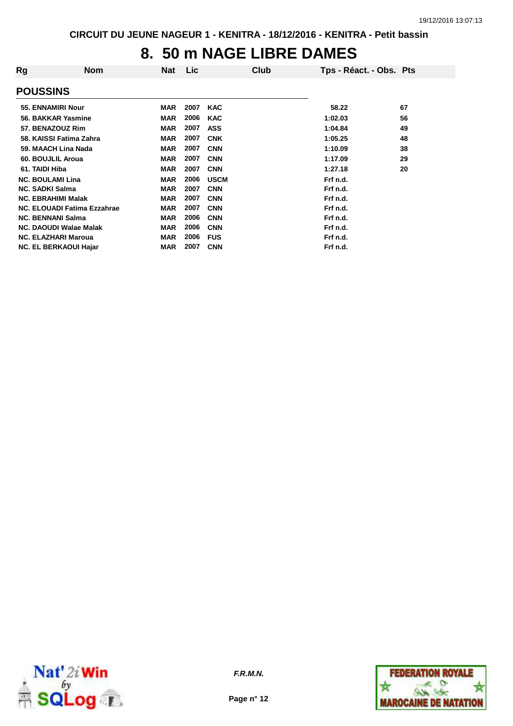### **8. 50 m NAGE LIBRE DAMES**

| Rg              | <b>Nom</b>                    | <b>Nat</b> | Lic  | Club        | Tps - Réact. - Obs. Pts |    |
|-----------------|-------------------------------|------------|------|-------------|-------------------------|----|
| <b>POUSSINS</b> |                               |            |      |             |                         |    |
|                 | 55. ENNAMIRI Nour             | <b>MAR</b> | 2007 | <b>KAC</b>  | 58.22                   | 67 |
|                 | 56. BAKKAR Yasmine            | <b>MAR</b> | 2006 | <b>KAC</b>  | 1:02.03                 | 56 |
|                 | 57. BENAZOUZ Rim              | <b>MAR</b> | 2007 | <b>ASS</b>  | 1:04.84                 | 49 |
|                 | 58. KAISSI Fatima Zahra       | <b>MAR</b> | 2007 | <b>CNK</b>  | 1:05.25                 | 48 |
|                 | 59. MAACH Lina Nada           | <b>MAR</b> | 2007 | <b>CNN</b>  | 1:10.09                 | 38 |
|                 | 60. BOUJLIL Aroua             | <b>MAR</b> | 2007 | <b>CNN</b>  | 1:17.09                 | 29 |
| 61. TAIDI Hiba  |                               | <b>MAR</b> | 2007 | <b>CNN</b>  | 1:27.18                 | 20 |
|                 | <b>NC. BOULAMI Lina</b>       | <b>MAR</b> | 2006 | <b>USCM</b> | Frf n.d.                |    |
|                 | <b>NC. SADKI Salma</b>        | <b>MAR</b> | 2007 | <b>CNN</b>  | Frf n.d.                |    |
|                 | <b>NC. EBRAHIMI Malak</b>     | <b>MAR</b> | 2007 | <b>CNN</b>  | Frf n.d.                |    |
|                 | NC. ELOUADI Fatima Ezzahrae   | <b>MAR</b> | 2007 | <b>CNN</b>  | Frf n.d.                |    |
|                 | <b>NC. BENNANI Salma</b>      | <b>MAR</b> | 2006 | <b>CNN</b>  | Frf n.d.                |    |
|                 | <b>NC. DAOUDI Walae Malak</b> | <b>MAR</b> | 2006 | <b>CNN</b>  | Frf n.d.                |    |
|                 | <b>NC. ELAZHARI Maroua</b>    | <b>MAR</b> | 2006 | <b>FUS</b>  | Frf n.d.                |    |
|                 | <b>NC. EL BERKAOUI Hajar</b>  | MAR        | 2007 | <b>CNN</b>  | Frf n.d.                |    |



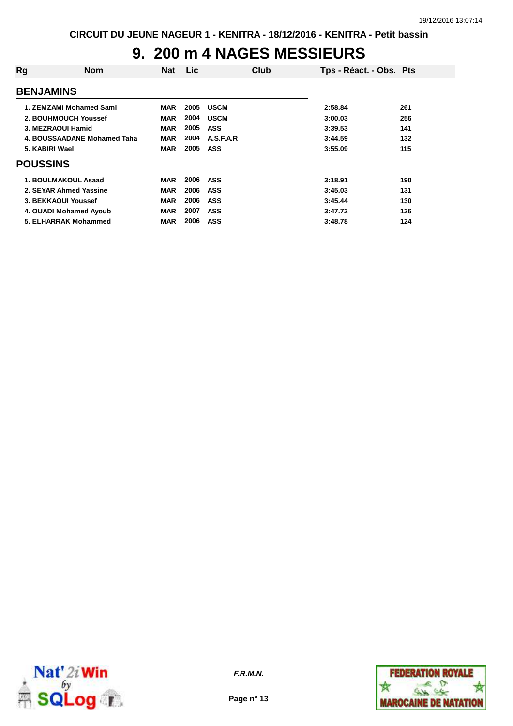# **9. 200 m 4 NAGES MESSIEURS**

| Rg               | <b>Nom</b>                  | <b>Nat</b> | <b>Lic</b> |             | Club | Tps - Réact. - Obs. Pts |     |
|------------------|-----------------------------|------------|------------|-------------|------|-------------------------|-----|
| <b>BENJAMINS</b> |                             |            |            |             |      |                         |     |
|                  | 1. ZEMZAMI Mohamed Sami     | <b>MAR</b> | 2005       | <b>USCM</b> |      | 2:58.84                 | 261 |
|                  | 2. BOUHMOUCH Youssef        | <b>MAR</b> | 2004       | <b>USCM</b> |      | 3:00.03                 | 256 |
|                  | 3. MEZRAOUI Hamid           | <b>MAR</b> | 2005       | <b>ASS</b>  |      | 3:39.53                 | 141 |
|                  | 4. BOUSSAADANE Mohamed Taha | <b>MAR</b> | 2004       | A.S.F.A.R   |      | 3:44.59                 | 132 |
| 5. KABIRI Wael   |                             | <b>MAR</b> | 2005       | ASS         |      | 3:55.09                 | 115 |
| <b>POUSSINS</b>  |                             |            |            |             |      |                         |     |
|                  | 1. BOULMAKOUL Asaad         | <b>MAR</b> | 2006       | ASS         |      | 3:18.91                 | 190 |
|                  | 2. SEYAR Ahmed Yassine      | MAR        | 2006       | ASS         |      | 3:45.03                 | 131 |
|                  | 3. BEKKAOUI Youssef         | <b>MAR</b> | 2006       | ASS         |      | 3:45.44                 | 130 |
|                  | 4. OUADI Mohamed Ayoub      | <b>MAR</b> | 2007       | <b>ASS</b>  |      | 3:47.72                 | 126 |
|                  | 5. ELHARRAK Mohammed        | <b>MAR</b> | 2006       | <b>ASS</b>  |      | 3:48.78                 | 124 |



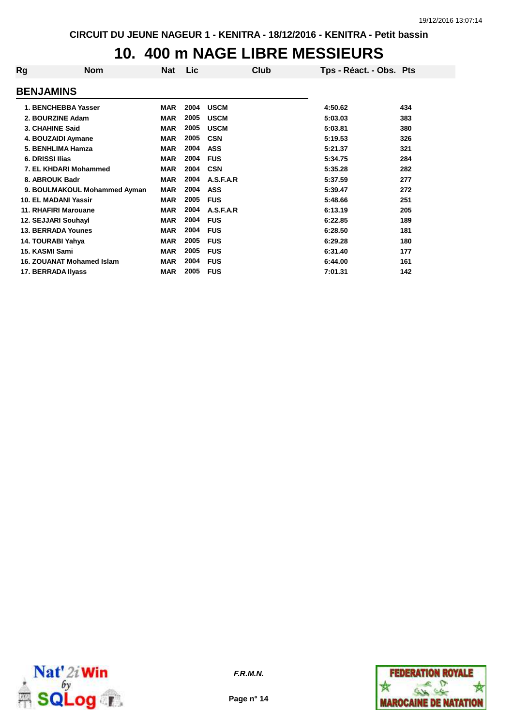### **10. 400 m NAGE LIBRE MESSIEURS**

| Rg               | <b>Nom</b>                   | <b>Nat</b> | Lic  | Club        | Tps - Réact. - Obs. Pts |     |
|------------------|------------------------------|------------|------|-------------|-------------------------|-----|
| <b>BENJAMINS</b> |                              |            |      |             |                         |     |
|                  | 1. BENCHEBBA Yasser          | <b>MAR</b> | 2004 | <b>USCM</b> | 4:50.62                 | 434 |
|                  | 2. BOURZINE Adam             | <b>MAR</b> | 2005 | <b>USCM</b> | 5:03.03                 | 383 |
| 3. CHAHINE Said  |                              | <b>MAR</b> | 2005 | <b>USCM</b> | 5:03.81                 | 380 |
|                  | 4. BOUZAIDI Aymane           | <b>MAR</b> | 2005 | <b>CSN</b>  | 5:19.53                 | 326 |
|                  | 5. BENHLIMA Hamza            | <b>MAR</b> | 2004 | <b>ASS</b>  | 5:21.37                 | 321 |
| 6. DRISSI Ilias  |                              | <b>MAR</b> | 2004 | <b>FUS</b>  | 5:34.75                 | 284 |
|                  | 7. EL KHDARI Mohammed        | <b>MAR</b> | 2004 | <b>CSN</b>  | 5:35.28                 | 282 |
| 8. ABROUK Badr   |                              | <b>MAR</b> | 2004 | A.S.F.A.R   | 5:37.59                 | 277 |
|                  | 9. BOULMAKOUL Mohammed Ayman | <b>MAR</b> | 2004 | <b>ASS</b>  | 5:39.47                 | 272 |
|                  | <b>10. EL MADANI Yassir</b>  | <b>MAR</b> | 2005 | <b>FUS</b>  | 5:48.66                 | 251 |
|                  | <b>11. RHAFIRI Marouane</b>  | <b>MAR</b> | 2004 | A.S.F.A.R   | 6:13.19                 | 205 |
|                  | 12. SEJJARI Souhayl          | <b>MAR</b> | 2004 | <b>FUS</b>  | 6:22.85                 | 189 |
|                  | <b>13. BERRADA Younes</b>    | <b>MAR</b> | 2004 | <b>FUS</b>  | 6:28.50                 | 181 |
|                  | 14. TOURABI Yahya            | <b>MAR</b> | 2005 | <b>FUS</b>  | 6:29.28                 | 180 |
| 15. KASMI Sami   |                              | <b>MAR</b> | 2005 | <b>FUS</b>  | 6:31.40                 | 177 |
|                  | 16. ZOUANAT Mohamed Islam    | <b>MAR</b> | 2004 | <b>FUS</b>  | 6:44.00                 | 161 |
|                  | 17. BERRADA Ilyass           | <b>MAR</b> | 2005 | <b>FUS</b>  | 7:01.31                 | 142 |



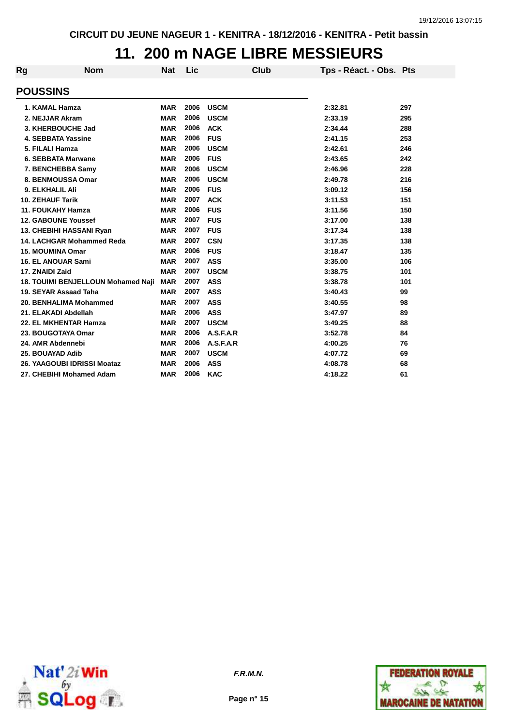## **11. 200 m NAGE LIBRE MESSIEURS**

| Rg | <b>Nom</b>                         | <b>Nat</b> | Lic  | Club        | Tps - Réact. - Obs. Pts |     |
|----|------------------------------------|------------|------|-------------|-------------------------|-----|
|    | <b>POUSSINS</b>                    |            |      |             |                         |     |
|    | 1. KAMAL Hamza                     | <b>MAR</b> | 2006 | <b>USCM</b> | 2:32.81                 | 297 |
|    | 2. NEJJAR Akram                    | <b>MAR</b> | 2006 | <b>USCM</b> | 2:33.19                 | 295 |
|    | 3. KHERBOUCHE Jad                  | <b>MAR</b> | 2006 | <b>ACK</b>  | 2:34.44                 | 288 |
|    | <b>4. SEBBATA Yassine</b>          | <b>MAR</b> | 2006 | <b>FUS</b>  | 2:41.15                 | 253 |
|    | 5. FILALI Hamza                    | <b>MAR</b> | 2006 | <b>USCM</b> | 2:42.61                 | 246 |
|    | 6. SEBBATA Marwane                 | <b>MAR</b> | 2006 | <b>FUS</b>  | 2:43.65                 | 242 |
|    | 7. BENCHEBBA Samy                  | <b>MAR</b> | 2006 | <b>USCM</b> | 2:46.96                 | 228 |
|    | 8. BENMOUSSA Omar                  | <b>MAR</b> | 2006 | <b>USCM</b> | 2:49.78                 | 216 |
|    | 9. ELKHALIL Ali                    | <b>MAR</b> | 2006 | <b>FUS</b>  | 3:09.12                 | 156 |
|    | <b>10. ZEHAUF Tarik</b>            | <b>MAR</b> | 2007 | <b>ACK</b>  | 3:11.53                 | 151 |
|    | <b>11. FOUKAHY Hamza</b>           | <b>MAR</b> | 2006 | <b>FUS</b>  | 3:11.56                 | 150 |
|    | <b>12. GABOUNE Youssef</b>         | <b>MAR</b> | 2007 | <b>FUS</b>  | 3:17.00                 | 138 |
|    | 13. CHEBIHI HASSANI Ryan           | <b>MAR</b> | 2007 | <b>FUS</b>  | 3:17.34                 | 138 |
|    | 14. LACHGAR Mohammed Reda          | <b>MAR</b> | 2007 | <b>CSN</b>  | 3:17.35                 | 138 |
|    | <b>15. MOUMINA Omar</b>            | <b>MAR</b> | 2006 | <b>FUS</b>  | 3:18.47                 | 135 |
|    | <b>16. EL ANOUAR Sami</b>          | <b>MAR</b> | 2007 | <b>ASS</b>  | 3:35.00                 | 106 |
|    | 17. ZNAIDI Zaid                    | <b>MAR</b> | 2007 | <b>USCM</b> | 3:38.75                 | 101 |
|    | 18. TOUIMI BENJELLOUN Mohamed Naji | <b>MAR</b> | 2007 | <b>ASS</b>  | 3:38.78                 | 101 |
|    | 19. SEYAR Assaad Taha              | <b>MAR</b> | 2007 | <b>ASS</b>  | 3:40.43                 | 99  |
|    | 20. BENHALIMA Mohammed             | <b>MAR</b> | 2007 | <b>ASS</b>  | 3:40.55                 | 98  |
|    | 21. ELAKADI Abdellah               | <b>MAR</b> | 2006 | <b>ASS</b>  | 3:47.97                 | 89  |
|    | 22. EL MKHENTAR Hamza              | <b>MAR</b> | 2007 | <b>USCM</b> | 3:49.25                 | 88  |
|    | 23. BOUGOTAYA Omar                 | <b>MAR</b> | 2006 | A.S.F.A.R   | 3:52.78                 | 84  |
|    | 24. AMR Abdennebi                  | <b>MAR</b> | 2006 | A.S.F.A.R   | 4:00.25                 | 76  |
|    | 25. BOUAYAD Adib                   | <b>MAR</b> | 2007 | <b>USCM</b> | 4:07.72                 | 69  |
|    | 26. YAAGOUBI IDRISSI Moataz        | <b>MAR</b> | 2006 | <b>ASS</b>  | 4:08.78                 | 68  |
|    | 27. CHEBIHI Mohamed Adam           | <b>MAR</b> | 2006 | <b>KAC</b>  | 4:18.22                 | 61  |



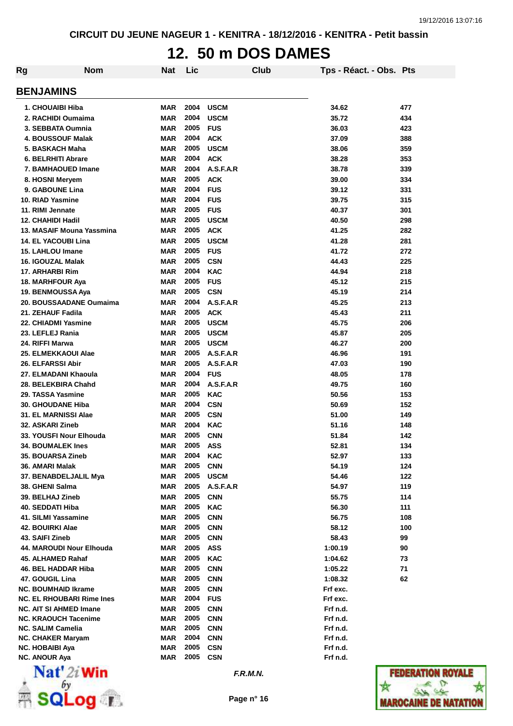## **12. 50 m DOS DAMES**

| Rg | <b>Nom</b>                       | Nat        | Lic  |             | Club | Tps - Réact. - Obs. Pts |     |
|----|----------------------------------|------------|------|-------------|------|-------------------------|-----|
|    | <b>BENJAMINS</b>                 |            |      |             |      |                         |     |
|    | 1. CHOUAIBI Hiba                 | <b>MAR</b> | 2004 | <b>USCM</b> |      | 34.62                   | 477 |
|    | 2. RACHIDI Oumaima               | <b>MAR</b> | 2004 | <b>USCM</b> |      | 35.72                   | 434 |
|    | 3. SEBBATA Oumnia                | <b>MAR</b> | 2005 | <b>FUS</b>  |      | 36.03                   | 423 |
|    | <b>4. BOUSSOUF Malak</b>         | <b>MAR</b> | 2004 | <b>ACK</b>  |      | 37.09                   | 388 |
|    | 5. BASKACH Maha                  | <b>MAR</b> | 2005 | <b>USCM</b> |      | 38.06                   | 359 |
|    | 6. BELRHITI Abrare               | <b>MAR</b> | 2004 | <b>ACK</b>  |      | 38.28                   | 353 |
|    | 7. BAMHAOUED Imane               | <b>MAR</b> | 2004 | A.S.F.A.R   |      | 38.78                   | 339 |
|    | 8. HOSNI Meryem                  | <b>MAR</b> | 2005 | <b>ACK</b>  |      | 39.00                   | 334 |
|    | 9. GABOUNE Lina                  | <b>MAR</b> | 2004 | <b>FUS</b>  |      | 39.12                   | 331 |
|    | 10. RIAD Yasmine                 | <b>MAR</b> | 2004 | <b>FUS</b>  |      | 39.75                   | 315 |
|    | 11. RIMI Jennate                 | <b>MAR</b> | 2005 | <b>FUS</b>  |      | 40.37                   | 301 |
|    | 12. CHAHIDI Hadil                | <b>MAR</b> | 2005 | <b>USCM</b> |      | 40.50                   | 298 |
|    | 13. MASAIF Mouna Yassmina        | <b>MAR</b> | 2005 | <b>ACK</b>  |      | 41.25                   | 282 |
|    | <b>14. EL YACOUBI Lina</b>       | <b>MAR</b> | 2005 | <b>USCM</b> |      | 41.28                   | 281 |
|    | <b>15. LAHLOU Imane</b>          | <b>MAR</b> | 2005 | <b>FUS</b>  |      | 41.72                   | 272 |
|    | 16. IGOUZAL Malak                | <b>MAR</b> | 2005 | <b>CSN</b>  |      | 44.43                   | 225 |
|    | 17. ARHARBI Rim                  | <b>MAR</b> | 2004 | <b>KAC</b>  |      | 44.94                   | 218 |
|    | 18. MARHFOUR Aya                 | <b>MAR</b> | 2005 | <b>FUS</b>  |      | 45.12                   | 215 |
|    | 19. BENMOUSSA Aya                | <b>MAR</b> | 2005 | <b>CSN</b>  |      | 45.19                   | 214 |
|    | 20. BOUSSAADANE Oumaima          | <b>MAR</b> | 2004 | A.S.F.A.R   |      | 45.25                   | 213 |
|    | 21. ZEHAUF Fadila                | <b>MAR</b> | 2005 | <b>ACK</b>  |      | 45.43                   | 211 |
|    | 22. CHIADMI Yasmine              | <b>MAR</b> | 2005 | <b>USCM</b> |      | 45.75                   | 206 |
|    | 23. LEFLEJ Rania                 | <b>MAR</b> | 2005 | <b>USCM</b> |      | 45.87                   | 205 |
|    | 24. RIFFI Marwa                  | <b>MAR</b> | 2005 | <b>USCM</b> |      | 46.27                   | 200 |
|    | 25. ELMEKKAOUI Alae              | <b>MAR</b> | 2005 | A.S.F.A.R   |      | 46.96                   | 191 |
|    | 26. ELFARSSI Abir                | <b>MAR</b> | 2005 | A.S.F.A.R   |      | 47.03                   | 190 |
|    | 27. ELMADANI Khaoula             | <b>MAR</b> | 2004 | <b>FUS</b>  |      | 48.05                   | 178 |
|    | 28. BELEKBIRA Chahd              | <b>MAR</b> | 2004 | A.S.F.A.R   |      | 49.75                   | 160 |
|    | 29. TASSA Yasmine                | <b>MAR</b> | 2005 | <b>KAC</b>  |      | 50.56                   | 153 |
|    | 30. GHOUDANE Hiba                | <b>MAR</b> | 2004 | <b>CSN</b>  |      | 50.69                   | 152 |
|    | 31. EL MARNISSI Alae             | <b>MAR</b> | 2005 | <b>CSN</b>  |      | 51.00                   | 149 |
|    | <b>32. ASKARI Zineb</b>          | <b>MAR</b> | 2004 | <b>KAC</b>  |      | 51.16                   | 148 |
|    | 33. YOUSFI Nour Elhouda          | <b>MAR</b> | 2005 | <b>CNN</b>  |      | 51.84                   | 142 |
|    | 34. BOUMALEK Ines                | <b>MAR</b> | 2005 | <b>ASS</b>  |      | 52.81                   | 134 |
|    | <b>35. BOUARSA Zineb</b>         | <b>MAR</b> | 2004 | <b>KAC</b>  |      | 52.97                   | 133 |
|    | 36. AMARI Malak                  | <b>MAR</b> | 2005 | <b>CNN</b>  |      | 54.19                   | 124 |
|    | 37. BENABDELJALIL Mya            | <b>MAR</b> | 2005 | <b>USCM</b> |      | 54.46                   | 122 |
|    | 38. GHENI Salma                  | <b>MAR</b> | 2005 | A.S.F.A.R   |      | 54.97                   | 119 |
|    | <b>39. BELHAJ Zineb</b>          | <b>MAR</b> | 2005 | <b>CNN</b>  |      | 55.75                   | 114 |
|    | 40. SEDDATI Hiba                 | <b>MAR</b> | 2005 | <b>KAC</b>  |      | 56.30                   | 111 |
|    | 41. SILMI Yassamine              | <b>MAR</b> | 2005 | <b>CNN</b>  |      | 56.75                   | 108 |
|    | 42. BOUIRKI Alae                 | <b>MAR</b> | 2005 | <b>CNN</b>  |      | 58.12                   | 100 |
|    | 43. SAIFI Zineb                  | <b>MAR</b> | 2005 | <b>CNN</b>  |      | 58.43                   | 99  |
|    | 44. MAROUDI Nour Elhouda         | <b>MAR</b> | 2005 | <b>ASS</b>  |      | 1:00.19                 | 90  |
|    | 45. ALHAMED Rahaf                | <b>MAR</b> | 2005 | <b>KAC</b>  |      | 1:04.62                 | 73  |
|    | 46. BEL HADDAR Hiba              | <b>MAR</b> | 2005 | <b>CNN</b>  |      | 1:05.22                 | 71  |
|    | 47. GOUGIL Lina                  | <b>MAR</b> | 2005 | <b>CNN</b>  |      | 1:08.32                 | 62  |
|    | <b>NC. BOUMHAID Ikrame</b>       | <b>MAR</b> | 2005 | <b>CNN</b>  |      | Frf exc.                |     |
|    | <b>NC. EL RHOUBARI Rime Ines</b> | <b>MAR</b> | 2004 | <b>FUS</b>  |      | Frf exc.                |     |
|    | <b>NC. AIT SI AHMED Imane</b>    | <b>MAR</b> | 2005 | <b>CNN</b>  |      | Frf n.d.                |     |
|    | <b>NC. KRAOUCH Tacenime</b>      | <b>MAR</b> | 2005 | <b>CNN</b>  |      | Frf n.d.                |     |
|    | <b>NC. SALIM Camelia</b>         | <b>MAR</b> | 2005 | <b>CNN</b>  |      | Frf n.d.                |     |
|    | <b>NC. CHAKER Maryam</b>         | <b>MAR</b> | 2004 | <b>CNN</b>  |      | Frf n.d.                |     |
|    | <b>NC. HOBAIBI Aya</b>           | <b>MAR</b> | 2005 | <b>CSN</b>  |      | Frf n.d.                |     |
|    | <b>NC. ANOUR Aya</b>             | <b>MAR</b> | 2005 | <b>CSN</b>  |      | Frf n.d.                |     |
|    |                                  |            |      |             |      |                         |     |



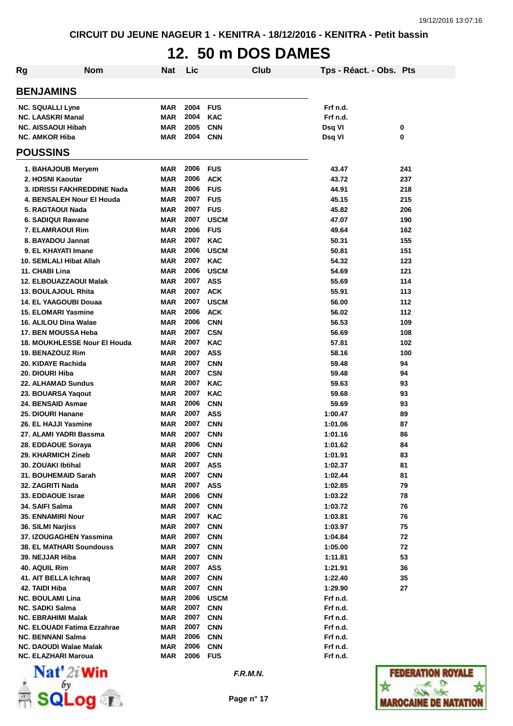# **12. 50 m DOS DAMES**

| Rg | <b>Nom</b>                               | Nat               | Lic          |                           | Club | Tps - Réact. - Obs. Pts |            |
|----|------------------------------------------|-------------------|--------------|---------------------------|------|-------------------------|------------|
|    | <b>BENJAMINS</b>                         |                   |              |                           |      |                         |            |
|    | <b>NC. SQUALLI Lyne</b>                  | MAR               | 2004         | <b>FUS</b>                |      | Frf n.d.                |            |
|    | <b>NC. LAASKRI Manal</b>                 | MAR               | 2004         | <b>KAC</b>                |      | Frf n.d.                |            |
|    | <b>NC. AISSAOUI Hibah</b>                | <b>MAR</b>        | 2005         | <b>CNN</b>                |      | Dsq VI                  | 0          |
|    | <b>NC. AMKOR Hiba</b>                    | MAR               | 2004         | <b>CNN</b>                |      | Dsq VI                  | 0          |
|    | <b>POUSSINS</b>                          |                   |              |                           |      |                         |            |
|    | 1. BAHAJOUB Meryem                       | MAR               | 2006         | <b>FUS</b>                |      | 43.47                   | 241        |
|    | 2. HOSNI Kaoutar                         | MAR               | 2006         | <b>ACK</b>                |      | 43.72                   | 237        |
|    | 3. IDRISSI FAKHREDDINE Nada              | MAR               | 2006         | <b>FUS</b>                |      | 44.91                   | 218        |
|    | 4. BENSALEH Nour El Houda                | MAR               | 2007         | <b>FUS</b>                |      | 45.15                   | 215        |
|    | 5. RAGTAOUI Nada                         | MAR               | 2007         | <b>FUS</b>                |      | 45.82                   | 206        |
|    | 6. SADIQUI Rawane                        | MAR               | 2007         | <b>USCM</b>               |      | 47.07                   | 190        |
|    | 7. ELAMRAOUI Rim                         | MAR               | 2006         | <b>FUS</b>                |      | 49.64                   | 162        |
|    | 8. BAYADOU Jannat                        | MAR               | 2007         | <b>KAC</b>                |      | 50.31                   | 155        |
|    | 9. EL KHAYATI Imane                      | MAR<br><b>MAR</b> | 2006<br>2007 | <b>USCM</b><br><b>KAC</b> |      | 50.81<br>54.32          | 151<br>123 |
|    | 10. SEMLALI Hibat Allah                  |                   | 2006         | <b>USCM</b>               |      |                         | 121        |
|    | 11. CHABI Lina<br>12. ELBOUAZZAOUI Malak | MAR<br><b>MAR</b> | 2007         | <b>ASS</b>                |      | 54.69<br>55.69          | 114        |
|    | 13. BOULAJOUL Rhita                      | MAR               | 2007         | <b>ACK</b>                |      | 55.91                   | 113        |
|    | <b>14. EL YAAGOUBI Douaa</b>             | MAR               | 2007         | <b>USCM</b>               |      | 56.00                   | 112        |
|    | <b>15. ELOMARI Yasmine</b>               | MAR               | 2006         | <b>ACK</b>                |      | 56.02                   | 112        |
|    | 16. ALILOU Dina Walae                    | MAR               | 2006         | <b>CNN</b>                |      | 56.53                   | 109        |
|    | 17. BEN MOUSSA Heba                      | MAR               | 2007         | <b>CSN</b>                |      | 56.69                   | 108        |
|    | 18. MOUKHLESSE Nour El Houda             | MAR               | 2007         | <b>KAC</b>                |      | 57.81                   | 102        |
|    | 19. BENAZOUZ Rim                         | MAR               | 2007         | <b>ASS</b>                |      | 58.16                   | 100        |
|    | 20. KIDAYE Rachida                       | MAR               | 2007         | <b>CNN</b>                |      | 59.48                   | 94         |
|    | 20. DIOURI Hiba                          | MAR               | 2007         | <b>CSN</b>                |      | 59.48                   | 94         |
|    | 22. ALHAMAD Sundus                       | <b>MAR</b>        | 2007         | <b>KAC</b>                |      | 59.63                   | 93         |
|    | 23. BOUARSA Yaqout                       | <b>MAR</b>        | 2007         | <b>KAC</b>                |      | 59.68                   | 93         |
|    | 24. BENSAID Asmae                        | <b>MAR</b>        | 2006         | <b>CNN</b>                |      | 59.69                   | 93         |
|    | 25. DIOURI Hanane                        | <b>MAR</b>        | 2007         | <b>ASS</b>                |      | 1:00.47                 | 89         |
|    | 26. EL HAJJI Yasmine                     | MAR               | 2007         | <b>CNN</b>                |      | 1:01.06                 | 87         |
|    | 27. ALAMI YADRI Bassma                   | MAR               | 2007         | <b>CNN</b>                |      | 1:01.16                 | 86         |
|    | 28. EDDAOUE Soraya                       | <b>MAR</b>        | 2006         | <b>CNN</b>                |      | 1:01.62                 | 84         |
|    | 29. KHARMICH Zineb                       | MAR               | 2007         | <b>CNN</b>                |      | 1:01.91                 | 83         |
|    | 30. ZOUAKI Ibtihal                       | MAR               | 2007         | <b>ASS</b>                |      | 1:02.37                 | 81         |
|    | 31. BOUHEMAID Sarah                      | <b>MAR</b>        | 2007         | <b>CNN</b>                |      | 1:02.44                 | 81         |
|    | 32. ZAGRITI Nada                         | MAR               | 2007<br>2006 | <b>ASS</b>                |      | 1:02.85                 | 79         |
|    | 33. EDDAOUE Israe<br>34. SAIFI Salma     | <b>MAR</b><br>MAR | 2007         | <b>CNN</b><br><b>CNN</b>  |      | 1:03.22<br>1:03.72      | 78<br>76   |
|    | 35. ENNAMIRI Nour                        | MAR               | 2007         | <b>KAC</b>                |      | 1:03.81                 | 76         |
|    | 36. SILMI Narjiss                        | <b>MAR</b>        | 2007         | <b>CNN</b>                |      | 1:03.97                 | 75         |
|    | 37. IZOUGAGHEN Yassmina                  | MAR               | 2007         | <b>CNN</b>                |      | 1:04.84                 | 72         |
|    | 38. EL MATHARI Soundouss                 | MAR               | 2007         | <b>CNN</b>                |      | 1:05.00                 | 72         |
|    | 39. NEJJAR Hiba                          | MAR               | 2007         | <b>CNN</b>                |      | 1:11.81                 | 53         |
|    | 40. AQUIL Rim                            | MAR               | 2007         | <b>ASS</b>                |      | 1:21.91                 | 36         |
|    | 41. AIT BELLA Ichraq                     | <b>MAR</b>        | 2007         | <b>CNN</b>                |      | 1:22.40                 | 35         |
|    | 42. TAIDI Hiba                           | <b>MAR</b>        | 2007         | <b>CNN</b>                |      | 1:29.90                 | 27         |
|    | <b>NC. BOULAMI Lina</b>                  | MAR               | 2006         | <b>USCM</b>               |      | Frf n.d.                |            |
|    | <b>NC. SADKI Salma</b>                   | MAR               | 2007         | <b>CNN</b>                |      | Frf n.d.                |            |
|    | <b>NC. EBRAHIMI Malak</b>                | <b>MAR</b>        | 2007         | <b>CNN</b>                |      | Frf n.d.                |            |
|    | NC. ELOUADI Fatima Ezzahrae              | MAR               | 2007         | <b>CNN</b>                |      | Frf n.d.                |            |
|    | <b>NC. BENNANI Salma</b>                 | <b>MAR</b>        | 2006         | <b>CNN</b>                |      | Frf n.d.                |            |
|    | <b>NC. DAOUDI Walae Malak</b>            | MAR               | 2006         | <b>CNN</b>                |      | Frf n.d.                |            |
|    | NC. ELAZHARI Maroua                      | MAR               | 2006         | <b>FUS</b>                |      | Frf n.d.                |            |



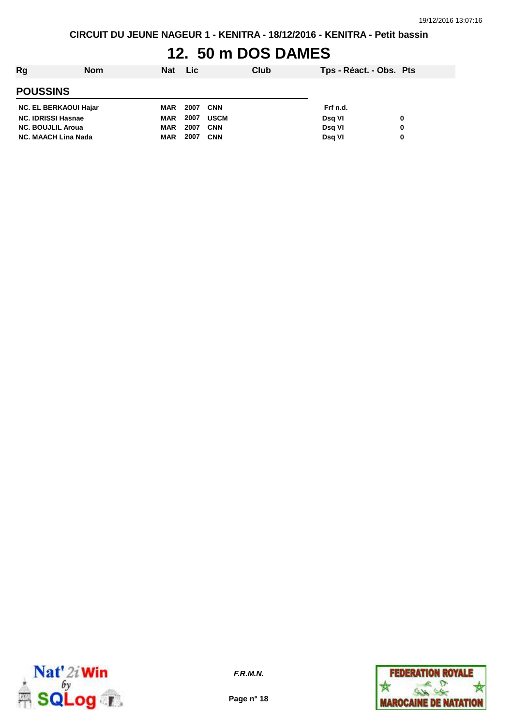**CIRCUIT DU JEUNE NAGEUR 1 - KENITRA - 18/12/2016 - KENITRA - Petit bassin**

### **12. 50 m DOS DAMES**

| Rg                           | <b>Nom</b> | <b>Nat</b> | <b>Lic</b> |             | <b>Club</b> | Tps - Réact. - Obs. Pts |   |
|------------------------------|------------|------------|------------|-------------|-------------|-------------------------|---|
| <b>POUSSINS</b>              |            |            |            |             |             |                         |   |
| <b>NC. EL BERKAOUI Hajar</b> |            | MAR        | 2007       | <b>CNN</b>  |             | Frf n.d.                |   |
| <b>NC. IDRISSI Hasnae</b>    |            | <b>MAR</b> | 2007       | <b>USCM</b> |             | Dsg VI                  | 0 |
| <b>NC. BOUJLIL Aroua</b>     |            | <b>MAR</b> | 2007       | <b>CNN</b>  |             | <b>Dsg VI</b>           | 0 |
| <b>NC. MAACH Lina Nada</b>   |            | <b>MAR</b> | 2007       | <b>CNN</b>  |             | Dsg VI                  | 0 |



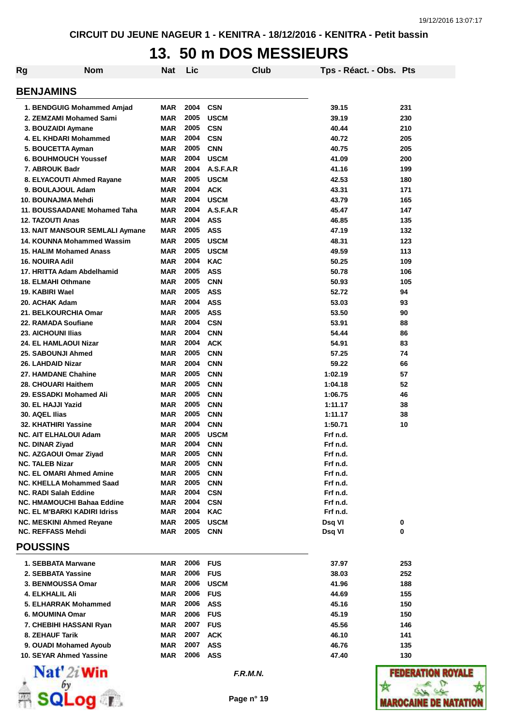### **13. 50 m DOS MESSIEURS**

| Rg | <b>Nom</b>                                                      | Nat        | Lic          |                          | Club | Tps - Réact. - Obs. Pts |     |
|----|-----------------------------------------------------------------|------------|--------------|--------------------------|------|-------------------------|-----|
|    | <b>BENJAMINS</b>                                                |            |              |                          |      |                         |     |
|    | 1. BENDGUIG Mohammed Amjad                                      | MAR        | 2004         | <b>CSN</b>               |      | 39.15                   | 231 |
|    | 2. ZEMZAMI Mohamed Sami                                         | <b>MAR</b> | 2005         | <b>USCM</b>              |      | 39.19                   | 230 |
|    | 3. BOUZAIDI Aymane                                              | <b>MAR</b> | 2005         | <b>CSN</b>               |      | 40.44                   | 210 |
|    | 4. EL KHDARI Mohammed                                           | <b>MAR</b> | 2004         | <b>CSN</b>               |      | 40.72                   | 205 |
|    | 5. BOUCETTA Ayman                                               | <b>MAR</b> | 2005         | <b>CNN</b>               |      | 40.75                   | 205 |
|    | <b>6. BOUHMOUCH Youssef</b>                                     | <b>MAR</b> | 2004         | <b>USCM</b>              |      | 41.09                   | 200 |
|    | 7. ABROUK Badr                                                  | <b>MAR</b> | 2004         | A.S.F.A.R                |      | 41.16                   | 199 |
|    | 8. ELYACOUTI Ahmed Rayane                                       | <b>MAR</b> | 2005         | <b>USCM</b>              |      | 42.53                   | 180 |
|    | 9. BOULAJOUL Adam                                               | <b>MAR</b> | 2004         | <b>ACK</b>               |      | 43.31                   | 171 |
|    | 10. BOUNAJMA Mehdi                                              | <b>MAR</b> | 2004         | <b>USCM</b>              |      | 43.79                   | 165 |
|    | 11. BOUSSAADANE Mohamed Taha                                    | <b>MAR</b> | 2004         | A.S.F.A.R                |      | 45.47                   | 147 |
|    | <b>12. TAZOUTI Anas</b>                                         | <b>MAR</b> | 2004         | <b>ASS</b>               |      | 46.85                   | 135 |
|    | 13. NAIT MANSOUR SEMLALI Aymane                                 | <b>MAR</b> | 2005         | <b>ASS</b>               |      | 47.19                   | 132 |
|    | 14. KOUNNA Mohammed Wassim                                      | <b>MAR</b> | 2005         | <b>USCM</b>              |      | 48.31                   | 123 |
|    | 15. HALIM Mohamed Anass                                         | <b>MAR</b> | 2005         | <b>USCM</b>              |      | 49.59                   | 113 |
|    | <b>16. NOUIRA Adil</b>                                          | <b>MAR</b> | 2004         | <b>KAC</b>               |      | 50.25                   | 109 |
|    | 17. HRITTA Adam Abdelhamid                                      | <b>MAR</b> | 2005         | <b>ASS</b>               |      | 50.78                   | 106 |
|    | <b>18. ELMAHI Othmane</b>                                       | <b>MAR</b> | 2005         | <b>CNN</b>               |      | 50.93                   | 105 |
|    | 19. KABIRI Wael                                                 | <b>MAR</b> | 2005         | <b>ASS</b>               |      | 52.72                   | 94  |
|    | 20. ACHAK Adam                                                  | <b>MAR</b> | 2004         | <b>ASS</b>               |      | 53.03                   | 93  |
|    | 21. BELKOURCHIA Omar                                            | <b>MAR</b> | 2005         | <b>ASS</b>               |      | 53.50                   | 90  |
|    | 22. RAMADA Soufiane                                             | <b>MAR</b> | 2004         | <b>CSN</b>               |      | 53.91                   | 88  |
|    | <b>23. AICHOUNI Ilias</b>                                       | <b>MAR</b> | 2004         | <b>CNN</b>               |      | 54.44                   | 86  |
|    | <b>24. EL HAMLAOUI Nizar</b>                                    | <b>MAR</b> | 2004         | <b>ACK</b>               |      | 54.91                   | 83  |
|    | 25. SABOUNJI Ahmed                                              | <b>MAR</b> | 2005         | <b>CNN</b>               |      | 57.25                   | 74  |
|    | 26. LAHDAID Nizar                                               | <b>MAR</b> | 2004         | <b>CNN</b>               |      | 59.22                   | 66  |
|    | 27. HAMDANE Chahine                                             | <b>MAR</b> | 2005         | <b>CNN</b>               |      | 1:02.19                 | 57  |
|    | 28. CHOUARI Haithem                                             | <b>MAR</b> | 2005         | <b>CNN</b>               |      | 1:04.18                 | 52  |
|    | 29. ESSADKI Mohamed Ali                                         | <b>MAR</b> | 2005         | <b>CNN</b>               |      | 1:06.75                 | 46  |
|    | 30. EL HAJJI Yazid                                              | <b>MAR</b> | 2005         | <b>CNN</b>               |      | 1:11.17                 | 38  |
|    | 30. AQEL Ilias                                                  | <b>MAR</b> | 2005         | <b>CNN</b>               |      | 1:11.17                 | 38  |
|    | 32. KHATHIRI Yassine                                            | <b>MAR</b> | 2004         | <b>CNN</b>               |      | 1:50.71                 | 10  |
|    | <b>NC. AIT ELHALOUI Adam</b>                                    | <b>MAR</b> | 2005         | <b>USCM</b>              |      | Frf n.d.                |     |
|    | NC. DINAR Ziyad                                                 | <b>MAR</b> | 2004         | <b>CNN</b>               |      | Frf n.d.                |     |
|    | NC. AZGAOUI Omar Ziyad                                          | MAR        | 2005         | <b>CNN</b>               |      | Frf n.d.                |     |
|    | <b>NC. TALEB Nizar</b>                                          | <b>MAR</b> | 2005         | <b>CNN</b>               |      | Frf n.d.                |     |
|    | <b>NC. EL OMARI Ahmed Amine</b>                                 | MAR        | 2005         | <b>CNN</b>               |      | Frf n.d.                |     |
|    | <b>NC. KHELLA Mohammed Saad</b><br><b>NC. RADI Salah Eddine</b> | MAR<br>MAR | 2005<br>2004 | <b>CNN</b><br><b>CSN</b> |      | Frf n.d.<br>Frf n.d.    |     |
|    | <b>NC. HMAMOUCHI Bahaa Eddine</b>                               | <b>MAR</b> | 2004         | <b>CSN</b>               |      | Frf n.d.                |     |
|    | <b>NC. EL M'BARKI KADIRI Idriss</b>                             | <b>MAR</b> | 2004         | <b>KAC</b>               |      | Frf n.d.                |     |
|    | NC. MESKINI Ahmed Reyane                                        | MAR        | 2005         | <b>USCM</b>              |      | Dsq VI                  | 0   |
|    | <b>NC. REFFASS Mehdi</b>                                        | MAR        | 2005         | <b>CNN</b>               |      | Dsq VI                  | 0   |
|    | <b>POUSSINS</b>                                                 |            |              |                          |      |                         |     |
|    | 1. SEBBATA Marwane                                              | MAR        | 2006         | <b>FUS</b>               |      | 37.97                   | 253 |
|    | 2. SEBBATA Yassine                                              | MAR        | 2006         | <b>FUS</b>               |      | 38.03                   | 252 |
|    | 3. BENMOUSSA Omar                                               | MAR        | 2006         | <b>USCM</b>              |      | 41.96                   | 188 |
|    | 4. ELKHALIL Ali                                                 | MAR        | 2006         | <b>FUS</b>               |      | 44.69                   | 155 |
|    | 5. ELHARRAK Mohammed                                            | MAR        | 2006         | <b>ASS</b>               |      | 45.16                   | 150 |
|    | 6. MOUMINA Omar                                                 | MAR        | 2006         | <b>FUS</b>               |      | 45.19                   | 150 |
|    | 7. CHEBIHI HASSANI Ryan                                         | MAR        | 2007         | <b>FUS</b>               |      | 45.56                   | 146 |
|    | 8. ZEHAUF Tarik                                                 | MAR        | 2007         | <b>ACK</b>               |      | 46.10                   | 141 |
|    | 9. OUADI Mohamed Ayoub                                          | MAR        | 2007         | <b>ASS</b>               |      | 46.76                   | 135 |
|    | 10. SEYAR Ahmed Yassine                                         | MAR        | 2006         | ASS                      |      | 47.40                   | 130 |
|    |                                                                 |            |              |                          |      |                         |     |



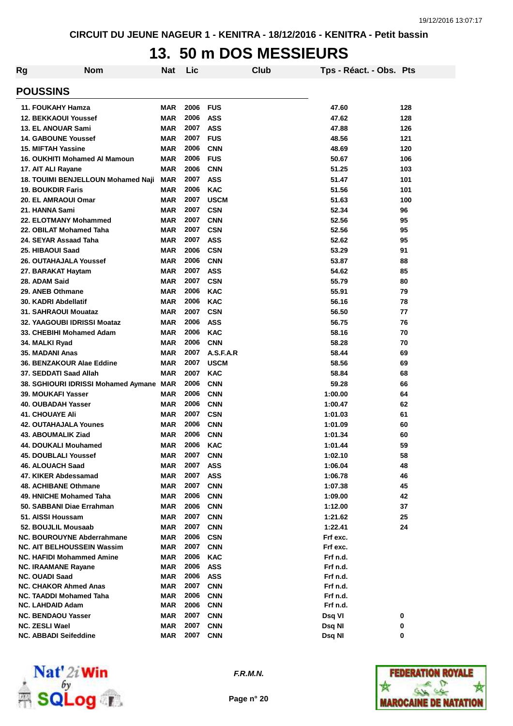### **13. 50 m DOS MESSIEURS**

| Rg                                | <b>Nom</b>                              | Nat        | Lic  |             | Club | Tps - Réact. - Obs. Pts |     |
|-----------------------------------|-----------------------------------------|------------|------|-------------|------|-------------------------|-----|
| <b>POUSSINS</b>                   |                                         |            |      |             |      |                         |     |
| 11. FOUKAHY Hamza                 |                                         | <b>MAR</b> | 2006 | <b>FUS</b>  |      | 47.60                   | 128 |
| <b>12. BEKKAOUI Youssef</b>       |                                         | <b>MAR</b> | 2006 | <b>ASS</b>  |      | 47.62                   | 128 |
| <b>13. EL ANOUAR Sami</b>         |                                         | <b>MAR</b> | 2007 | <b>ASS</b>  |      | 47.88                   | 126 |
| <b>14. GABOUNE Youssef</b>        |                                         | <b>MAR</b> | 2007 | <b>FUS</b>  |      | 48.56                   | 121 |
| <b>15. MIFTAH Yassine</b>         |                                         | <b>MAR</b> | 2006 | <b>CNN</b>  |      | 48.69                   | 120 |
| 16. OUKHITI Mohamed AI Mamoun     |                                         | <b>MAR</b> | 2006 | <b>FUS</b>  |      | 50.67                   | 106 |
| 17. AIT ALI Rayane                |                                         | <b>MAR</b> | 2006 | <b>CNN</b>  |      | 51.25                   | 103 |
|                                   | 18. TOUIMI BENJELLOUN Mohamed Naji      | <b>MAR</b> | 2007 | <b>ASS</b>  |      | 51.47                   | 101 |
| <b>19. BOUKDIR Faris</b>          |                                         | <b>MAR</b> | 2006 | <b>KAC</b>  |      | 51.56                   | 101 |
| 20. EL AMRAOUI Omar               |                                         | <b>MAR</b> | 2007 | <b>USCM</b> |      | 51.63                   | 100 |
| 21. HANNA Sami                    |                                         | <b>MAR</b> | 2007 | <b>CSN</b>  |      | 52.34                   | 96  |
| 22. ELOTMANY Mohammed             |                                         | <b>MAR</b> | 2007 | <b>CNN</b>  |      | 52.56                   | 95  |
| 22. OBILAT Mohamed Taha           |                                         | <b>MAR</b> | 2007 | <b>CSN</b>  |      | 52.56                   | 95  |
| 24. SEYAR Assaad Taha             |                                         | <b>MAR</b> | 2007 | <b>ASS</b>  |      | 52.62                   | 95  |
| 25. HIBAOUI Saad                  |                                         | <b>MAR</b> | 2006 | <b>CSN</b>  |      | 53.29                   | 91  |
| <b>26. OUTAHAJALA Youssef</b>     |                                         | <b>MAR</b> | 2006 | <b>CNN</b>  |      | 53.87                   | 88  |
| 27. BARAKAT Haytam                |                                         | <b>MAR</b> | 2007 | <b>ASS</b>  |      | 54.62                   | 85  |
| 28. ADAM Said                     |                                         | <b>MAR</b> | 2007 | <b>CSN</b>  |      | 55.79                   | 80  |
| 29. ANEB Othmane                  |                                         | <b>MAR</b> | 2006 | <b>KAC</b>  |      | 55.91                   | 79  |
| 30. KADRI Abdellatif              |                                         | <b>MAR</b> | 2006 | <b>KAC</b>  |      | 56.16                   | 78  |
| 31. SAHRAOUI Mouataz              |                                         | <b>MAR</b> | 2007 | <b>CSN</b>  |      | 56.50                   | 77  |
| 32. YAAGOUBI IDRISSI Moataz       |                                         | <b>MAR</b> | 2006 | <b>ASS</b>  |      | 56.75                   | 76  |
| 33. CHEBIHI Mohamed Adam          |                                         | <b>MAR</b> | 2006 | <b>KAC</b>  |      | 58.16                   | 70  |
| 34. MALKI Ryad                    |                                         | <b>MAR</b> | 2006 | <b>CNN</b>  |      | 58.28                   | 70  |
| 35. MADANI Anas                   |                                         | <b>MAR</b> | 2007 | A.S.F.A.R   |      | 58.44                   | 69  |
| 36. BENZAKOUR Alae Eddine         |                                         | <b>MAR</b> | 2007 | <b>USCM</b> |      | 58.56                   | 69  |
| 37. SEDDATI Saad Allah            |                                         | <b>MAR</b> | 2007 | <b>KAC</b>  |      | 58.84                   | 68  |
|                                   | 38. SGHIOURI IDRISSI Mohamed Aymane MAR |            | 2006 | <b>CNN</b>  |      | 59.28                   | 66  |
| 39. MOUKAFI Yasser                |                                         | <b>MAR</b> | 2006 | <b>CNN</b>  |      | 1:00.00                 | 64  |
| 40. OUBADAH Yasser                |                                         | <b>MAR</b> | 2006 | <b>CNN</b>  |      | 1:00.47                 | 62  |
| <b>41. CHOUAYE Ali</b>            |                                         | <b>MAR</b> | 2007 | <b>CSN</b>  |      | 1:01.03                 | 61  |
| <b>42. OUTAHAJALA Younes</b>      |                                         | <b>MAR</b> | 2006 | <b>CNN</b>  |      | 1:01.09                 | 60  |
| 43. ABOUMALIK Ziad                |                                         | <b>MAR</b> | 2006 | <b>CNN</b>  |      | 1:01.34                 | 60  |
| 44. DOUKALI Mouhamed              |                                         | <b>MAR</b> | 2006 | <b>KAC</b>  |      | 1:01.44                 | 59  |
| 45. DOUBLALI Youssef              |                                         | MAR        | 2007 | <b>CNN</b>  |      | 1:02.10                 | 58  |
| 46. ALOUACH Saad                  |                                         | MAR        | 2007 | <b>ASS</b>  |      | 1:06.04                 | 48  |
| 47. KIKER Abdessamad              |                                         | <b>MAR</b> | 2007 | <b>ASS</b>  |      | 1:06.78                 | 46  |
| 48. ACHIBANE Othmane              |                                         | <b>MAR</b> | 2007 | <b>CNN</b>  |      | 1:07.38                 | 45  |
| 49. HNICHE Mohamed Taha           |                                         | <b>MAR</b> | 2006 | <b>CNN</b>  |      | 1:09.00                 | 42  |
| 50. SABBANI Diae Errahman         |                                         | <b>MAR</b> | 2006 | <b>CNN</b>  |      | 1:12.00                 | 37  |
| 51. AISSI Houssam                 |                                         | <b>MAR</b> | 2007 | <b>CNN</b>  |      | 1:21.62                 | 25  |
| 52. BOUJLIL Mousaab               |                                         | <b>MAR</b> | 2007 | <b>CNN</b>  |      | 1:22.41                 | 24  |
| <b>NC. BOUROUYNE Abderrahmane</b> |                                         | <b>MAR</b> | 2006 | <b>CSN</b>  |      | Frf exc.                |     |
| <b>NC. AIT BELHOUSSEIN Wassim</b> |                                         | <b>MAR</b> | 2007 | <b>CNN</b>  |      | Frf exc.                |     |
| <b>NC. HAFIDI Mohammed Amine</b>  |                                         | <b>MAR</b> | 2006 | <b>KAC</b>  |      | Frf n.d.                |     |
| <b>NC. IRAAMANE Rayane</b>        |                                         | <b>MAR</b> | 2006 | <b>ASS</b>  |      | Frf n.d.                |     |
| <b>NC. OUADI Saad</b>             |                                         | <b>MAR</b> | 2006 | <b>ASS</b>  |      | Frf n.d.                |     |
| <b>NC. CHAKOR Ahmed Anas</b>      |                                         | <b>MAR</b> | 2007 | <b>CNN</b>  |      | Frf n.d.                |     |
| NC. TAADDI Mohamed Taha           |                                         | <b>MAR</b> | 2006 | <b>CNN</b>  |      | Frf n.d.                |     |
| <b>NC. LAHDAID Adam</b>           |                                         | <b>MAR</b> | 2006 | <b>CNN</b>  |      | Frf n.d.                |     |
| <b>NC. BENDAOU Yasser</b>         |                                         | MAR        | 2007 | <b>CNN</b>  |      | Dsq VI                  | 0   |
| <b>NC. ZESLI Wael</b>             |                                         | <b>MAR</b> | 2007 | <b>CNN</b>  |      | Dsq NI                  | 0   |
| <b>NC. ABBADI Seifeddine</b>      |                                         | <b>MAR</b> | 2007 | <b>CNN</b>  |      | Dsq NI                  | 0   |



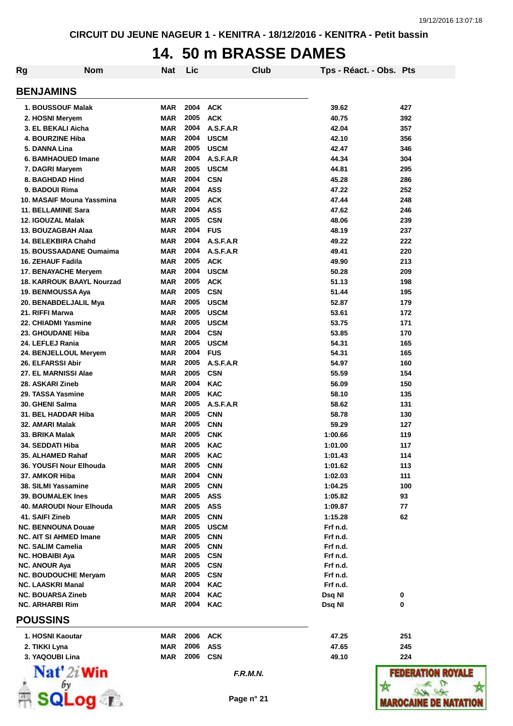## **14. 50 m BRASSE DAMES**

| <b>Rg</b><br><b>Nom</b>                      | <b>Nat</b>               | Lic          |                           | Club | Tps - Réact. - Obs. Pts |            |
|----------------------------------------------|--------------------------|--------------|---------------------------|------|-------------------------|------------|
| <b>BENJAMINS</b>                             |                          |              |                           |      |                         |            |
| <b>1. BOUSSOUF Malak</b>                     | <b>MAR</b>               | 2004         | <b>ACK</b>                |      | 39.62                   | 427        |
| 2. HOSNI Meryem                              | <b>MAR</b>               | 2005         | <b>ACK</b>                |      | 40.75                   | 392        |
| 3. EL BEKALI Aicha                           | <b>MAR</b>               | 2004         | A.S.F.A.R                 |      | 42.04                   | 357        |
| <b>4. BOURZINE Hiba</b>                      | <b>MAR</b>               | 2004         | <b>USCM</b>               |      | 42.10                   | 356        |
| 5. DANNA Lina                                | <b>MAR</b>               | 2005         | <b>USCM</b>               |      | 42.47                   | 346        |
| 6. BAMHAOUED Imane                           | <b>MAR</b>               | 2004         | A.S.F.A.R                 |      | 44.34                   | 304        |
| 7. DAGRI Maryem                              | <b>MAR</b>               | 2005         | <b>USCM</b>               |      | 44.81                   | 295        |
| 8. BAGHDAD Hind                              | <b>MAR</b>               | 2004<br>2004 | <b>CSN</b>                |      | 45.28                   | 286        |
| 9. BADOUI Rima<br>10. MASAIF Mouna Yassmina  | <b>MAR</b><br><b>MAR</b> | 2005         | <b>ASS</b><br><b>ACK</b>  |      | 47.22<br>47.44          | 252<br>248 |
| 11. BELLAMINE Sara                           | <b>MAR</b>               | 2004         | <b>ASS</b>                |      | 47.62                   | 246        |
| 12. IGOUZAL Malak                            | <b>MAR</b>               | 2005         | <b>CSN</b>                |      | 48.06                   | 239        |
| 13. BOUZAGBAH Alaa                           | <b>MAR</b>               | 2004         | <b>FUS</b>                |      | 48.19                   | 237        |
| 14. BELEKBIRA Chahd                          | <b>MAR</b>               | 2004         | A.S.F.A.R                 |      | 49.22                   | 222        |
| <b>15. BOUSSAADANE Oumaima</b>               | <b>MAR</b>               | 2004         | A.S.F.A.R                 |      | 49.41                   | 220        |
| <b>16. ZEHAUF Fadila</b>                     | <b>MAR</b>               | 2005         | <b>ACK</b>                |      | 49.90                   | 213        |
| 17. BENAYACHE Meryem                         | <b>MAR</b>               | 2004         | <b>USCM</b>               |      | 50.28                   | 209        |
| 18. KARROUK BAAYL Nourzad                    | <b>MAR</b>               | 2005         | <b>ACK</b>                |      | 51.13                   | 198        |
| 19. BENMOUSSA Aya                            | <b>MAR</b>               | 2005         | <b>CSN</b>                |      | 51.44                   | 195        |
| 20. BENABDELJALIL Mya                        | <b>MAR</b>               | 2005         | <b>USCM</b>               |      | 52.87                   | 179        |
| 21. RIFFI Marwa                              | <b>MAR</b>               | 2005         | <b>USCM</b>               |      | 53.61                   | 172        |
| 22. CHIADMI Yasmine                          | <b>MAR</b>               | 2005         | <b>USCM</b>               |      | 53.75                   | 171        |
| 23. GHOUDANE Hiba                            | <b>MAR</b>               | 2004         | <b>CSN</b>                |      | 53.85                   | 170        |
| 24. LEFLEJ Rania                             | <b>MAR</b>               | 2005         | <b>USCM</b>               |      | 54.31                   | 165        |
| 24. BENJELLOUL Meryem                        | <b>MAR</b>               | 2004         | <b>FUS</b>                |      | 54.31                   | 165        |
| <b>26. ELFARSSI Abir</b>                     | <b>MAR</b>               | 2005         | A.S.F.A.R                 |      | 54.97                   | 160        |
| 27. EL MARNISSI Alae                         | <b>MAR</b>               | 2005         | <b>CSN</b>                |      | 55.59                   | 154        |
| 28. ASKARI Zineb                             | <b>MAR</b>               | 2004         | <b>KAC</b>                |      | 56.09                   | 150        |
| 29. TASSA Yasmine                            | <b>MAR</b>               | 2005         | <b>KAC</b>                |      | 58.10                   | 135        |
| 30. GHENI Salma                              | <b>MAR</b>               | 2005         | A.S.F.A.R                 |      | 58.62                   | 131        |
| 31. BEL HADDAR Hiba                          | MAR                      | 2005         | <b>CNN</b>                |      | 58.78                   | 130        |
| 32. AMARI Malak                              | <b>MAR</b>               | 2005         | <b>CNN</b>                |      | 59.29                   | 127        |
| 33. BRIKA Malak                              | <b>MAR</b>               | 2005         | <b>CNK</b>                |      | 1:00.66                 | 119        |
| 34. SEDDATI Hiba                             | <b>MAR</b>               | 2005         | <b>KAC</b>                |      | 1:01.00                 | 117        |
| 35. ALHAMED Rahaf                            | MAR                      | 2005         | <b>KAC</b>                |      | 1:01.43                 | 114        |
| 36. YOUSFI Nour Elhouda                      | <b>MAR</b>               | 2005         | <b>CNN</b>                |      | 1:01.62                 | 113        |
| 37. AMKOR Hiba                               | <b>MAR</b>               | 2004         | <b>CNN</b>                |      | 1:02.03                 | 111        |
| 38. SILMI Yassamine                          | MAR                      | 2005         | <b>CNN</b>                |      | 1:04.25                 | 100        |
| <b>39. BOUMALEK Ines</b>                     | MAR                      | 2005         | <b>ASS</b>                |      | 1:05.82                 | 93         |
| 40. MAROUDI Nour Elhouda                     | <b>MAR</b>               | 2005         | <b>ASS</b>                |      | 1:09.87                 | 77         |
| 41. SAIFI Zineb<br><b>NC. BENNOUNA Douae</b> | <b>MAR</b>               | 2005<br>2005 | <b>CNN</b>                |      | 1:15.28<br>Frf n.d.     | 62         |
| <b>NC. AIT SI AHMED Imane</b>                | <b>MAR</b><br><b>MAR</b> | 2005         | <b>USCM</b><br><b>CNN</b> |      | Frf n.d.                |            |
| <b>NC. SALIM Camelia</b>                     | MAR                      | 2005         | <b>CNN</b>                |      | Frf n.d.                |            |
| <b>NC. HOBAIBI Aya</b>                       | <b>MAR</b>               | 2005         | <b>CSN</b>                |      | Frf n.d.                |            |
| <b>NC. ANOUR Aya</b>                         | MAR                      | 2005         | <b>CSN</b>                |      | Frf n.d.                |            |
| <b>NC. BOUDOUCHE Meryam</b>                  | MAR                      | 2005         | <b>CSN</b>                |      | Frf n.d.                |            |
| <b>NC. LAASKRI Manal</b>                     | <b>MAR</b>               | 2004         | <b>KAC</b>                |      | Frf n.d.                |            |
| <b>NC. BOUARSA Zineb</b>                     | <b>MAR</b>               | 2004         | <b>KAC</b>                |      | Dsq NI                  | 0          |
| <b>NC. ARHARBI Rim</b>                       | <b>MAR</b>               | 2004 KAC     |                           |      | Dsq NI                  | 0          |
| <b>POUSSINS</b>                              |                          |              |                           |      |                         |            |
| 1. HOSNI Kaoutar                             | <b>MAR</b>               | 2006         | <b>ACK</b>                |      | 47.25                   | 251        |
| 2. TIKKI Lyna                                | <b>MAR</b>               | 2006         | <b>ASS</b>                |      | 47.65                   | 245        |
| 3. YAQOUBI Lina                              | <b>MAR</b>               | 2006         | <b>CSN</b>                |      | 49.10                   | 224        |
| $\mathbf{Nat}'$ 2i Win                       |                          |              | F.R.M.N.                  |      |                         | 결국사회       |
|                                              |                          |              | Page n° 21                |      |                         | IAROCAII   |

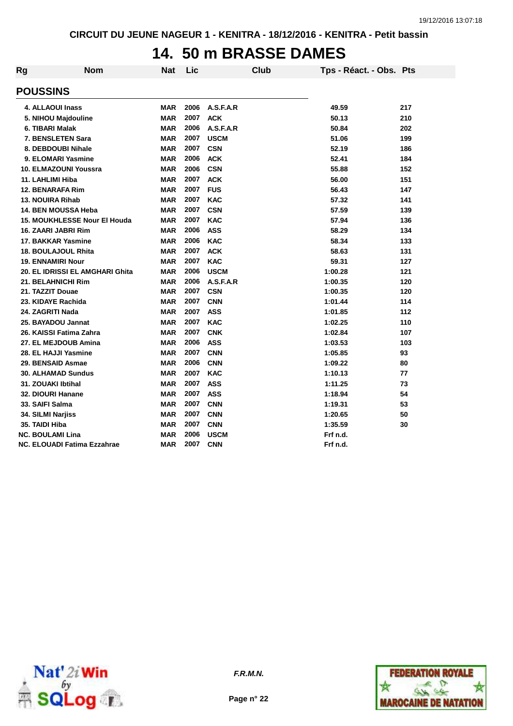#### **14. 50 m BRASSE DAMES**

| Rg | <b>Nom</b>                          | <b>Nat</b> | Lic  |             | <b>Club</b> | Tps - Réact. - Obs. Pts |     |
|----|-------------------------------------|------------|------|-------------|-------------|-------------------------|-----|
|    | <b>POUSSINS</b>                     |            |      |             |             |                         |     |
|    | 4. ALLAOUI Inass                    | <b>MAR</b> | 2006 | A.S.F.A.R   |             | 49.59                   | 217 |
|    | 5. NIHOU Majdouline                 | <b>MAR</b> | 2007 | <b>ACK</b>  |             | 50.13                   | 210 |
|    | 6. TIBARI Malak                     | <b>MAR</b> | 2006 | A.S.F.A.R   |             | 50.84                   | 202 |
|    | 7. BENSLETEN Sara                   | <b>MAR</b> | 2007 | <b>USCM</b> |             | 51.06                   | 199 |
|    | 8. DEBDOUBI Nihale                  | <b>MAR</b> | 2007 | <b>CSN</b>  |             | 52.19                   | 186 |
|    | 9. ELOMARI Yasmine                  | <b>MAR</b> | 2006 | <b>ACK</b>  |             | 52.41                   | 184 |
|    | 10. ELMAZOUNI Youssra               | <b>MAR</b> | 2006 | <b>CSN</b>  |             | 55.88                   | 152 |
|    | 11. LAHLIMI Hiba                    | <b>MAR</b> | 2007 | <b>ACK</b>  |             | 56.00                   | 151 |
|    | <b>12. BENARAFA Rim</b>             | <b>MAR</b> | 2007 | <b>FUS</b>  |             | 56.43                   | 147 |
|    | <b>13. NOUIRA Rihab</b>             | <b>MAR</b> | 2007 | <b>KAC</b>  |             | 57.32                   | 141 |
|    | 14. BEN MOUSSA Heba                 | <b>MAR</b> | 2007 | <b>CSN</b>  |             | 57.59                   | 139 |
|    | <b>15. MOUKHLESSE Nour El Houda</b> | <b>MAR</b> | 2007 | <b>KAC</b>  |             | 57.94                   | 136 |
|    | 16. ZAARI JABRI Rim                 | <b>MAR</b> | 2006 | <b>ASS</b>  |             | 58.29                   | 134 |
|    | 17. BAKKAR Yasmine                  | <b>MAR</b> | 2006 | <b>KAC</b>  |             | 58.34                   | 133 |
|    | <b>18. BOULAJOUL Rhita</b>          | <b>MAR</b> | 2007 | <b>ACK</b>  |             | 58.63                   | 131 |
|    | <b>19. ENNAMIRI Nour</b>            | <b>MAR</b> | 2007 | <b>KAC</b>  |             | 59.31                   | 127 |
|    | 20. EL IDRISSI EL AMGHARI Ghita     | <b>MAR</b> | 2006 | <b>USCM</b> |             | 1:00.28                 | 121 |
|    | 21. BELAHNICHI Rim                  | <b>MAR</b> | 2006 | A.S.F.A.R   |             | 1:00.35                 | 120 |
|    | 21. TAZZIT Douae                    | <b>MAR</b> | 2007 | <b>CSN</b>  |             | 1:00.35                 | 120 |
|    | 23. KIDAYE Rachida                  | <b>MAR</b> | 2007 | <b>CNN</b>  |             | 1:01.44                 | 114 |
|    | 24. ZAGRITI Nada                    | <b>MAR</b> | 2007 | <b>ASS</b>  |             | 1:01.85                 | 112 |
|    | 25. BAYADOU Jannat                  | <b>MAR</b> | 2007 | <b>KAC</b>  |             | 1:02.25                 | 110 |
|    | 26. KAISSI Fatima Zahra             | <b>MAR</b> | 2007 | <b>CNK</b>  |             | 1:02.84                 | 107 |
|    | 27. EL MEJDOUB Amina                | <b>MAR</b> | 2006 | <b>ASS</b>  |             | 1:03.53                 | 103 |
|    | 28. EL HAJJI Yasmine                | <b>MAR</b> | 2007 | <b>CNN</b>  |             | 1:05.85                 | 93  |
|    | 29. BENSAID Asmae                   | <b>MAR</b> | 2006 | <b>CNN</b>  |             | 1:09.22                 | 80  |
|    | <b>30. ALHAMAD Sundus</b>           | <b>MAR</b> | 2007 | <b>KAC</b>  |             | 1:10.13                 | 77  |
|    | 31. ZOUAKI Ibtihal                  | <b>MAR</b> | 2007 | <b>ASS</b>  |             | 1:11.25                 | 73  |
|    | 32. DIOURI Hanane                   | <b>MAR</b> | 2007 | <b>ASS</b>  |             | 1:18.94                 | 54  |
|    | 33. SAIFI Salma                     | <b>MAR</b> | 2007 | <b>CNN</b>  |             | 1:19.31                 | 53  |
|    | 34. SILMI Narjiss                   | <b>MAR</b> | 2007 | <b>CNN</b>  |             | 1:20.65                 | 50  |
|    | 35. TAIDI Hiba                      | <b>MAR</b> | 2007 | <b>CNN</b>  |             | 1:35.59                 | 30  |
|    | <b>NC. BOULAMI Lina</b>             | MAR        | 2006 | <b>USCM</b> |             | Frf n.d.                |     |
|    | NC. ELOUADI Fatima Ezzahrae         | <b>MAR</b> | 2007 | <b>CNN</b>  |             | Frf n.d.                |     |



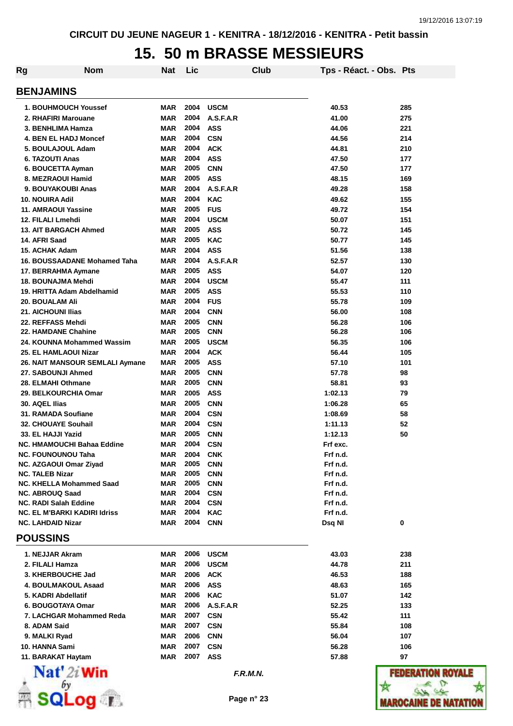### **15. 50 m BRASSE MESSIEURS**

| Rg                            | <b>Nom</b>                          | <b>Nat</b> | Lic  |             | Club | Tps - Réact. - Obs. Pts |              |
|-------------------------------|-------------------------------------|------------|------|-------------|------|-------------------------|--------------|
| <b>BENJAMINS</b>              |                                     |            |      |             |      |                         |              |
| 1. BOUHMOUCH Youssef          |                                     | <b>MAR</b> | 2004 | <b>USCM</b> |      | 40.53                   | 285          |
| 2. RHAFIRI Marouane           |                                     | <b>MAR</b> | 2004 | A.S.F.A.R   |      | 41.00                   | 275          |
| 3. BENHLIMA Hamza             |                                     | <b>MAR</b> | 2004 | <b>ASS</b>  |      | 44.06                   | 221          |
| 4. BEN EL HADJ Moncef         |                                     | MAR        | 2004 | <b>CSN</b>  |      | 44.56                   | 214          |
| 5. BOULAJOUL Adam             |                                     | MAR        | 2004 | <b>ACK</b>  |      | 44.81                   | 210          |
| 6. TAZOUTI Anas               |                                     | MAR        | 2004 | <b>ASS</b>  |      | 47.50                   | 177          |
| 6. BOUCETTA Ayman             |                                     | <b>MAR</b> | 2005 | <b>CNN</b>  |      | 47.50                   | 177          |
| 8. MEZRAOUI Hamid             |                                     | <b>MAR</b> | 2005 | <b>ASS</b>  |      | 48.15                   | 169          |
| 9. BOUYAKOUBI Anas            |                                     | <b>MAR</b> | 2004 | A.S.F.A.R   |      | 49.28                   | 158          |
| <b>10. NOUIRA Adil</b>        |                                     | <b>MAR</b> | 2004 | <b>KAC</b>  |      | 49.62                   | 155          |
| 11. AMRAOUI Yassine           |                                     | <b>MAR</b> | 2005 | <b>FUS</b>  |      | 49.72                   | 154          |
| 12. FILALI Lmehdi             |                                     | MAR        | 2004 | <b>USCM</b> |      | 50.07                   | 151          |
| <b>13. AIT BARGACH Ahmed</b>  |                                     | MAR        | 2005 | <b>ASS</b>  |      | 50.72                   | 145          |
| 14. AFRI Saad                 |                                     | MAR        | 2005 | <b>KAC</b>  |      | 50.77                   | 145          |
| 15. ACHAK Adam                |                                     | <b>MAR</b> | 2004 | <b>ASS</b>  |      | 51.56                   | 138          |
|                               | 16. BOUSSAADANE Mohamed Taha        | MAR        | 2004 | A.S.F.A.R   |      | 52.57                   | 130          |
| 17. BERRAHMA Aymane           |                                     | MAR        | 2005 | <b>ASS</b>  |      | 54.07                   | 120          |
| 18. BOUNAJMA Mehdi            |                                     | <b>MAR</b> | 2004 | <b>USCM</b> |      | 55.47                   | 111          |
|                               | 19. HRITTA Adam Abdelhamid          | <b>MAR</b> | 2005 | <b>ASS</b>  |      | 55.53                   | 110          |
| <b>20. BOUALAM Ali</b>        |                                     | MAR        | 2004 | <b>FUS</b>  |      | 55.78                   | 109          |
| <b>21. AICHOUNI Ilias</b>     |                                     | MAR        | 2004 | <b>CNN</b>  |      | 56.00                   | 108          |
| 22. REFFASS Mehdi             |                                     | MAR        | 2005 | <b>CNN</b>  |      | 56.28                   | 106          |
| 22. HAMDANE Chahine           |                                     | MAR        | 2005 | <b>CNN</b>  |      | 56.28                   | 106          |
|                               | 24. KOUNNA Mohammed Wassim          | MAR        | 2005 | <b>USCM</b> |      | 56.35                   | 106          |
| 25. EL HAMLAOUI Nizar         |                                     | MAR        | 2004 | <b>ACK</b>  |      | 56.44                   | 105          |
|                               | 26. NAIT MANSOUR SEMLALI Aymane     | MAR        | 2005 | <b>ASS</b>  |      | 57.10                   | 101          |
| 27. SABOUNJI Ahmed            |                                     | MAR        | 2005 | <b>CNN</b>  |      | 57.78                   | 98           |
| 28. ELMAHI Othmane            |                                     | MAR        | 2005 | <b>CNN</b>  |      | 58.81                   | 93           |
| 29. BELKOURCHIA Omar          |                                     | MAR        | 2005 | <b>ASS</b>  |      | 1:02.13                 | 79           |
| 30. AQEL Ilias                |                                     | MAR        | 2005 | <b>CNN</b>  |      | 1:06.28                 | 65           |
| 31. RAMADA Soufiane           |                                     | MAR        | 2004 | <b>CSN</b>  |      | 1:08.69                 | 58           |
| 32. CHOUAYE Souhail           |                                     | MAR        | 2004 | <b>CSN</b>  |      | 1:11.13                 | 52           |
| 33. EL HAJJI Yazid            |                                     | MAR        | 2005 | <b>CNN</b>  |      | 1:12.13                 | 50           |
|                               | NC. HMAMOUCHI Bahaa Eddine          | <b>MAR</b> | 2004 | <b>CSN</b>  |      | Frf exc.                |              |
| <b>NC. FOUNOUNOU Taha</b>     |                                     | MAR        | 2004 | <b>CNK</b>  |      | Frf n.d.                |              |
| <b>NC. AZGAOUI Omar Ziyad</b> |                                     | MAR        | 2005 | <b>CNN</b>  |      | Frf n.d.                |              |
| <b>NC. TALEB Nizar</b>        |                                     | MAR        | 2005 | <b>CNN</b>  |      | Frf n.d.                |              |
|                               | NC. KHELLA Mohammed Saad            | MAR        | 2005 | <b>CNN</b>  |      | Frf n.d.                |              |
| <b>NC. ABROUQ Saad</b>        |                                     | MAR        | 2004 | <b>CSN</b>  |      | Frf n.d.                |              |
| <b>NC. RADI Salah Eddine</b>  |                                     | MAR        | 2004 | <b>CSN</b>  |      | Frf n.d.                |              |
|                               | <b>NC. EL M'BARKI KADIRI Idriss</b> | MAR        | 2004 | <b>KAC</b>  |      | Frf n.d.                |              |
| <b>NC. LAHDAID Nizar</b>      |                                     | MAR        | 2004 | <b>CNN</b>  |      | Dsq NI                  | 0            |
| <b>POUSSINS</b>               |                                     |            |      |             |      |                         |              |
| 1. NEJJAR Akram               |                                     | MAR        | 2006 | <b>USCM</b> |      | 43.03                   | 238          |
| 2. FILALI Hamza               |                                     | MAR        | 2006 | <b>USCM</b> |      | 44.78                   | 211          |
| 3. KHERBOUCHE Jad             |                                     | MAR        | 2006 | <b>ACK</b>  |      | 46.53                   | 188          |
| 4. BOULMAKOUL Asaad           |                                     | MAR        | 2006 | <b>ASS</b>  |      | 48.63                   | 165          |
| 5. KADRI Abdellatif           |                                     | MAR        | 2006 | <b>KAC</b>  |      | 51.07                   | 142          |
| 6. BOUGOTAYA Omar             |                                     | MAR        | 2006 | A.S.F.A.R   |      | 52.25                   | 133          |
|                               | 7. LACHGAR Mohammed Reda            | MAR        | 2007 | <b>CSN</b>  |      | 55.42                   | 111          |
| 8. ADAM Said                  |                                     | MAR        | 2007 | <b>CSN</b>  |      | 55.84                   | 108          |
| 9. MALKI Ryad                 |                                     | MAR        | 2006 | <b>CNN</b>  |      | 56.04                   | 107          |
| 10. HANNA Sami                |                                     | MAR        | 2007 | <b>CSN</b>  |      | 56.28                   | 106          |
| 11. BARAKAT Haytam            |                                     | MAR        | 2007 | ASS         |      | 57.88                   | 97           |
|                               | $\mathbf{Nat}'$ 2i Win              |            |      | F.R.M.N.    |      |                         | <b>FEDER</b> |
|                               | $\overline{\mathbf{OQ}}$ if         |            |      | Page n° 23  |      |                         | IAROCA       |

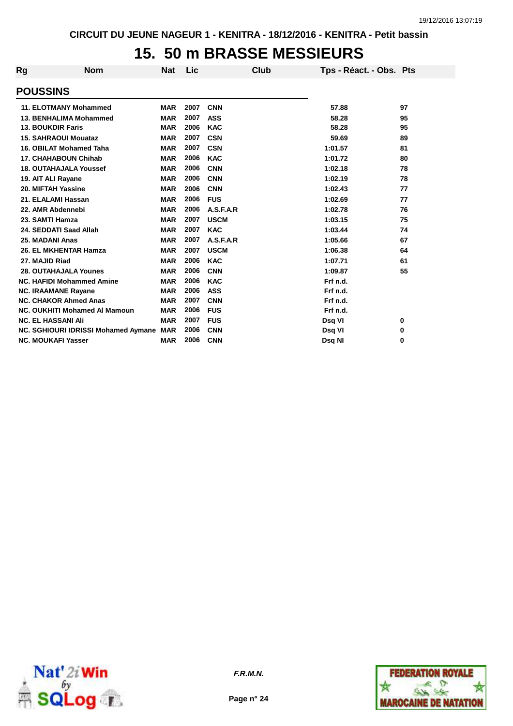### **15. 50 m BRASSE MESSIEURS**

| <b>Rg</b> | <b>Nom</b>                                 | <b>Nat</b> | Lic  |             | Club | Tps - Réact. - Obs. Pts |    |
|-----------|--------------------------------------------|------------|------|-------------|------|-------------------------|----|
|           | <b>POUSSINS</b>                            |            |      |             |      |                         |    |
|           | <b>11. ELOTMANY Mohammed</b>               | <b>MAR</b> | 2007 | <b>CNN</b>  |      | 57.88                   | 97 |
|           | 13. BENHALIMA Mohammed                     | <b>MAR</b> | 2007 | <b>ASS</b>  |      | 58.28                   | 95 |
|           | <b>13. BOUKDIR Faris</b>                   | <b>MAR</b> | 2006 | <b>KAC</b>  |      | 58.28                   | 95 |
|           | <b>15. SAHRAOUI Mouataz</b>                | <b>MAR</b> | 2007 | <b>CSN</b>  |      | 59.69                   | 89 |
|           | 16. OBILAT Mohamed Taha                    | <b>MAR</b> | 2007 | <b>CSN</b>  |      | 1:01.57                 | 81 |
|           | <b>17. CHAHABOUN Chihab</b>                | <b>MAR</b> | 2006 | <b>KAC</b>  |      | 1:01.72                 | 80 |
|           | 18. OUTAHAJALA Youssef                     | <b>MAR</b> | 2006 | <b>CNN</b>  |      | 1:02.18                 | 78 |
|           | 19. AIT ALI Rayane                         | <b>MAR</b> | 2006 | <b>CNN</b>  |      | 1:02.19                 | 78 |
|           | 20. MIFTAH Yassine                         | <b>MAR</b> | 2006 | <b>CNN</b>  |      | 1:02.43                 | 77 |
|           | 21. ELALAMI Hassan                         | <b>MAR</b> | 2006 | <b>FUS</b>  |      | 1:02.69                 | 77 |
|           | 22. AMR Abdennebi                          | <b>MAR</b> | 2006 | A.S.F.A.R   |      | 1:02.78                 | 76 |
|           | 23. SAMTI Hamza                            | <b>MAR</b> | 2007 | <b>USCM</b> |      | 1:03.15                 | 75 |
|           | 24. SEDDATI Saad Allah                     | <b>MAR</b> | 2007 | <b>KAC</b>  |      | 1:03.44                 | 74 |
|           | 25. MADANI Anas                            | <b>MAR</b> | 2007 | A.S.F.A.R   |      | 1:05.66                 | 67 |
|           | 26. EL MKHENTAR Hamza                      | <b>MAR</b> | 2007 | <b>USCM</b> |      | 1:06.38                 | 64 |
|           | 27. MAJID Riad                             | <b>MAR</b> | 2006 | <b>KAC</b>  |      | 1:07.71                 | 61 |
|           | <b>28. OUTAHAJALA Younes</b>               | <b>MAR</b> | 2006 | <b>CNN</b>  |      | 1:09.87                 | 55 |
|           | <b>NC. HAFIDI Mohammed Amine</b>           | <b>MAR</b> | 2006 | <b>KAC</b>  |      | Frf n.d.                |    |
|           | <b>NC. IRAAMANE Rayane</b>                 | <b>MAR</b> | 2006 | <b>ASS</b>  |      | Frf n.d.                |    |
|           | <b>NC. CHAKOR Ahmed Anas</b>               | <b>MAR</b> | 2007 | <b>CNN</b>  |      | Frf n.d.                |    |
|           | NC. OUKHITI Mohamed AI Mamoun              | <b>MAR</b> | 2006 | <b>FUS</b>  |      | Frf n.d.                |    |
|           | <b>NC. EL HASSANI Ali</b>                  | <b>MAR</b> | 2007 | <b>FUS</b>  |      | Dsq VI                  | 0  |
|           | <b>NC. SGHIOURI IDRISSI Mohamed Aymane</b> | <b>MAR</b> | 2006 | <b>CNN</b>  |      | Dsq VI                  | 0  |
|           | <b>NC. MOUKAFI Yasser</b>                  | <b>MAR</b> | 2006 | <b>CNN</b>  |      | Dsq NI                  | 0  |